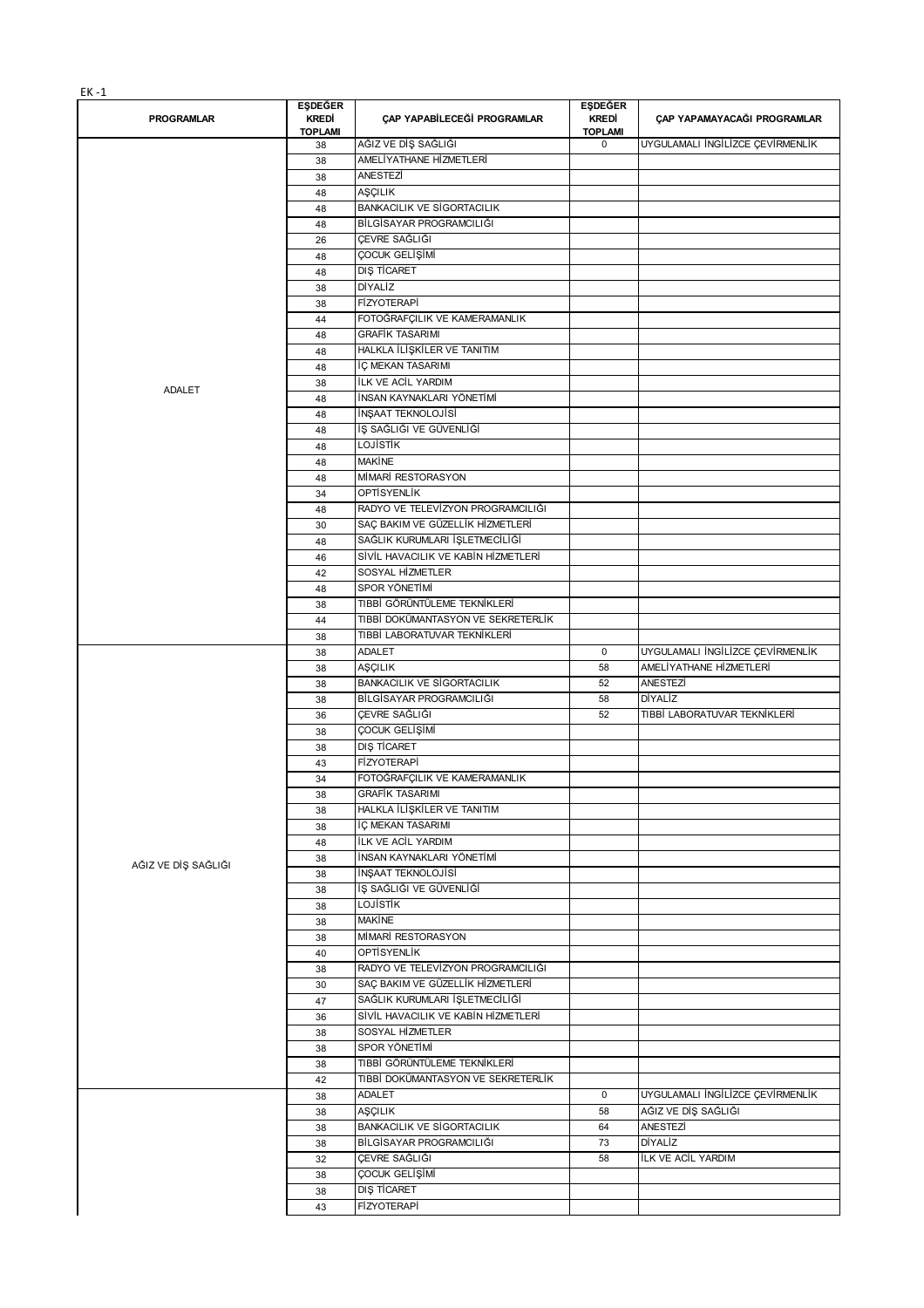|--|--|--|

|                     | <b>EŞDEĞER</b>       |                                     | <b>EŞDEĞER</b>                |                                  |
|---------------------|----------------------|-------------------------------------|-------------------------------|----------------------------------|
| <b>PROGRAMLAR</b>   | KREDİ                | ÇAP YAPABİLECEĞİ PROGRAMLAR         | KREDİ                         | CAP YAPAMAYACAĞI PROGRAMLAR      |
|                     | <b>TOPLAMI</b><br>38 | AĞIZ VE DİŞ SAĞLIĞI                 | <b>TOPLAMI</b><br>$\mathbf 0$ | UYGULAMALI İNGİLİZCE ÇEVİRMENLİK |
|                     | 38                   | AMELİYATHANE HİZMETLERİ             |                               |                                  |
|                     | 38                   | <b>ANESTEZİ</b>                     |                               |                                  |
|                     | 48                   | AŞÇILIK                             |                               |                                  |
|                     | 48                   | <b>BANKACILIK VE SİGORTACILIK</b>   |                               |                                  |
|                     | 48                   | BİLGİSAYAR PROGRAMCILIĞI            |                               |                                  |
|                     | 26                   | ÇEVRE SAĞLIĞI                       |                               |                                  |
|                     | 48                   | ÇOCUK GELİŞİMİ                      |                               |                                  |
|                     | 48                   | DIŞ TİCARET                         |                               |                                  |
|                     | 38                   | DİYALİZ                             |                               |                                  |
|                     | 38                   | <b>FİZYOTERAPİ</b>                  |                               |                                  |
|                     | 44                   | FOTOĞRAFÇILIK VE KAMERAMANLIK       |                               |                                  |
|                     | 48                   | <b>GRAFİK TASARIMI</b>              |                               |                                  |
|                     | 48                   | HALKLA İLİŞKİLER VE TANITIM         |                               |                                  |
|                     | 48                   | İÇ MEKAN TASARIMI                   |                               |                                  |
| ADALET              | 38                   | <b>ILK VE ACIL YARDIM</b>           |                               |                                  |
|                     | 48                   | İNSAN KAYNAKLARI YÖNETİMİ           |                               |                                  |
|                     | 48                   | İNŞAAT TEKNOLOJİSİ                  |                               |                                  |
|                     | 48                   | İŞ SAĞLIĞI VE GÜVENLİĞİ             |                               |                                  |
|                     | 48                   | LOJİSTİK                            |                               |                                  |
|                     | 48                   | <b>MAKINE</b>                       |                               |                                  |
|                     | 48                   | MİMARİ RESTORASYON                  |                               |                                  |
|                     | 34                   | <b>OPTİSYENLİK</b>                  |                               |                                  |
|                     | 48                   | RADYO VE TELEVİZYON PROGRAMCILIĞI   |                               |                                  |
|                     | 30                   | SAÇ BAKIM VE GÜZELLİK HİZMETLERİ    |                               |                                  |
|                     | 48                   | SAĞLIK KURUMLARI İŞLETMECİLİĞİ      |                               |                                  |
|                     | 46                   | SİVİL HAVACILIK VE KABİN HİZMETLERİ |                               |                                  |
|                     | 42                   | SOSYAL HİZMETLER                    |                               |                                  |
|                     | 48                   | SPOR YÖNETİMİ                       |                               |                                  |
|                     | 38                   | TIBBİ GÖRÜNTÜLEME TEKNİKLERİ        |                               |                                  |
|                     | 44                   | TIBBİ DOKÜMANTASYON VE SEKRETERLİK  |                               |                                  |
|                     | 38                   | TIBBİ LABORATUVAR TEKNİKLERİ        |                               |                                  |
|                     | 38                   | <b>ADALET</b>                       | $\mathbf 0$                   | UYGULAMALI İNGİLİZCE ÇEVİRMENLİK |
|                     | 38                   | AŞÇILIK                             | 58                            | AMELİYATHANE HİZMETLERİ          |
|                     | 38                   | <b>BANKACILIK VE SİGORTACILIK</b>   | 52                            | ANESTEZİ                         |
|                     | 38                   | BİLGİSAYAR PROGRAMCILIĞI            | 58                            | <b>DİYALİZ</b>                   |
|                     | 36                   | ÇEVRE SAĞLIĞI                       | 52                            | TIBBİ LABORATUVAR TEKNİKLERİ     |
|                     | 38                   | ÇOCUK GELİŞİMİ                      |                               |                                  |
|                     | 38                   | DIŞ TİCARET                         |                               |                                  |
|                     | 43                   | <b>FİZYOTERAPİ</b>                  |                               |                                  |
|                     | 34                   | FOTOĞRAFÇILIK VE KAMERAMANLIK       |                               |                                  |
|                     | 38                   | <b>GRAFİK TASARIMI</b>              |                               |                                  |
|                     | 38                   | HALKLA İLİŞKİLER VE TANITIM         |                               |                                  |
|                     | 38                   | İÇ MEKAN TASARIMI                   |                               |                                  |
|                     | 48                   | İLK VE ACİL YARDIM                  |                               |                                  |
| AĞIZ VE DİŞ SAĞLIĞI | 38                   | İNSAN KAYNAKLARI YÖNETİMİ           |                               |                                  |
|                     | 38                   | İNŞAAT TEKNOLOJİSİ                  |                               |                                  |
|                     | 38                   | İŞ SAĞLIĞI VE GÜVENLİĞİ             |                               |                                  |
|                     | 38                   | LOJİSTİK<br><b>MAKİNE</b>           |                               |                                  |
|                     | 38                   |                                     |                               |                                  |
|                     | 38                   | MİMARİ RESTORASYON                  |                               |                                  |
|                     | 40                   | OPTİSYENLİK                         |                               |                                  |
|                     | 38                   | RADYO VE TELEVÍZYON PROGRAMCILIĞI   |                               |                                  |
|                     | 30                   | SAÇ BAKIM VE GÜZELLİK HİZMETLERİ    |                               |                                  |
|                     | 47                   | SAĞLIK KURUMLARI İŞLETMECİLİĞİ      |                               |                                  |
|                     | 36                   | SİVİL HAVACILIK VE KABİN HİZMETLERİ |                               |                                  |
|                     | 38                   | SOSYAL HİZMETLER                    |                               |                                  |
|                     | 38                   | SPOR YÖNETİMİ                       |                               |                                  |
|                     | 38                   | TIBBİ GÖRÜNTÜLEME TEKNİKLERİ        |                               |                                  |
|                     | 42                   | TIBBİ DOKÜMANTASYON VE SEKRETERLİK  |                               | UYGULAMALI İNGİLİZCE ÇEVİRMENLİK |
|                     | 38                   | ADALET                              | 0                             |                                  |
|                     | 38                   | AŞÇILIK                             | 58                            | AĞIZ VE DİŞ SAĞLIĞI              |
|                     | 38                   | <b>BANKACILIK VE SİGORTACILIK</b>   | 64                            | ANESTEZİ                         |
|                     | 38                   | BİLGİSAYAR PROGRAMCILIĞI            | 73                            | DİYALİZ                          |
|                     | 32                   | ÇEVRE SAĞLIĞI                       | 58                            | İLK VE ACİL YARDIM               |
|                     | 38                   | ÇOCUK GELİŞİMİ                      |                               |                                  |
|                     | 38                   | DIS TİCARET                         |                               |                                  |
|                     | 43                   | FİZYOTERAPİ                         |                               |                                  |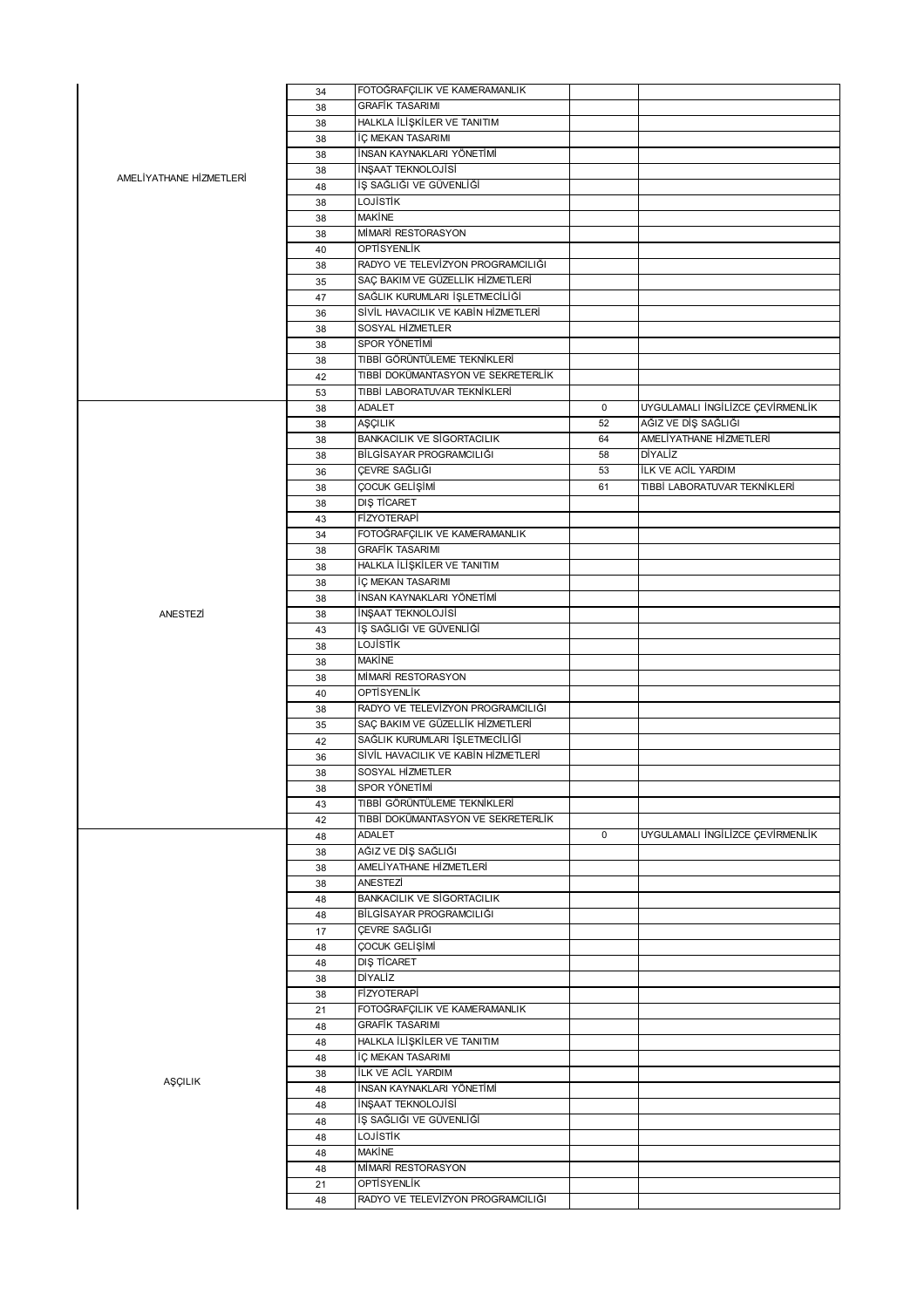|                         | 34 | FOTOĞRAFÇILIK VE KAMERAMANLIK       |             |                                  |
|-------------------------|----|-------------------------------------|-------------|----------------------------------|
|                         | 38 | <b>GRAFIK TASARIMI</b>              |             |                                  |
|                         | 38 | HALKLA İLİŞKİLER VE TANITIM         |             |                                  |
|                         | 38 | İÇ MEKAN TASARIMI                   |             |                                  |
|                         | 38 | İNSAN KAYNAKLARI YÖNETİMİ           |             |                                  |
|                         | 38 | İNŞAAT TEKNOLOJİSİ                  |             |                                  |
| AMELİYATHANE HİZMETLERİ | 48 | İŞ SAĞLIĞI VE GÜVENLİĞİ             |             |                                  |
|                         |    | <b>LOJISTIK</b>                     |             |                                  |
|                         | 38 |                                     |             |                                  |
|                         | 38 | <b>MAKİNE</b>                       |             |                                  |
|                         | 38 | MİMARİ RESTORASYON                  |             |                                  |
|                         | 40 | <b>OPTISYENLIK</b>                  |             |                                  |
|                         | 38 | RADYO VE TELEVÍZYON PROGRAMCILIĞI   |             |                                  |
|                         | 35 | SAÇ BAKIM VE GÜZELLİK HİZMETLERİ    |             |                                  |
|                         | 47 | SAĞLIK KURUMLARI İŞLETMECİLIĞI      |             |                                  |
|                         | 36 | SİVİL HAVACILIK VE KABİN HİZMETLERİ |             |                                  |
|                         | 38 | SOSYAL HİZMETLER                    |             |                                  |
|                         | 38 | SPOR YÖNETİMİ                       |             |                                  |
|                         | 38 | TIBBİ GÖRÜNTÜLEME TEKNİKLERİ        |             |                                  |
|                         |    | TIBBİ DOKÜMANTASYON VE SEKRETERLİK  |             |                                  |
|                         | 42 |                                     |             |                                  |
|                         | 53 | TIBBİ LABORATUVAR TEKNİKLERİ        |             |                                  |
|                         | 38 | ADALET                              | $\mathbf 0$ | UYGULAMALI İNGİLİZCE ÇEVİRMENLİK |
|                         | 38 | AŞÇILIK                             | 52          | AĞIZ VE DİŞ SAĞLIĞI              |
|                         | 38 | <b>BANKACILIK VE SİGORTACILIK</b>   | 64          | AMELİYATHANE HİZMETLERİ          |
|                         | 38 | BİLGİSAYAR PROGRAMCILIĞI            | 58          | DİYALİZ                          |
|                         | 36 | ÇEVRE SAĞLIĞI                       | 53          | <b>İLK VE ACİL YARDIM</b>        |
|                         | 38 | ÇOCUK GELİŞİMİ                      | 61          | TIBBİ LABORATUVAR TEKNİKLERİ     |
|                         | 38 | DIS TİCARET                         |             |                                  |
|                         |    | <b>FİZYOTERAPİ</b>                  |             |                                  |
|                         | 43 |                                     |             |                                  |
|                         | 34 | FOTOĞRAFÇILIK VE KAMERAMANLIK       |             |                                  |
|                         | 38 | <b>GRAFIK TASARIMI</b>              |             |                                  |
|                         | 38 | HALKLA İLİŞKİLER VE TANITIM         |             |                                  |
|                         | 38 | İÇ MEKAN TASARIMI                   |             |                                  |
|                         | 38 | İNSAN KAYNAKLARI YÖNETİMİ           |             |                                  |
| ANESTEZİ                | 38 | İNŞAAT TEKNOLOJİSİ                  |             |                                  |
|                         | 43 | İŞ SAĞLIĞI VE GÜVENLİĞİ             |             |                                  |
|                         | 38 | LOJİSTİK                            |             |                                  |
|                         | 38 | MAKINE                              |             |                                  |
|                         |    | MİMARİ RESTORASYON                  |             |                                  |
|                         | 38 |                                     |             |                                  |
|                         | 40 | OPTISYENLIK                         |             |                                  |
|                         | 38 | RADYO VE TELEVÍZYON PROGRAMCILIĞI   |             |                                  |
|                         | 35 | SAÇ BAKIM VE GÜZELLİK HİZMETLERİ    |             |                                  |
|                         | 42 | SAĞLIK KURUMLARI İŞLETMECİLİĞİ      |             |                                  |
|                         | 36 | SİVİL HAVACILIK VE KABİN HİZMETLERİ |             |                                  |
|                         | 38 | SOSYAL HİZMETLER                    |             |                                  |
|                         | 38 | SPOR YÖNETİMİ                       |             |                                  |
|                         | 43 | TIBBİ GÖRÜNTÜLEME TEKNİKLERİ        |             |                                  |
|                         | 42 | TIBBİ DOKÜMANTASYON VE SEKRETERLİK  |             |                                  |
|                         |    | ADALET                              | $\mathbf 0$ | UYGULAMALI İNGİLİZCE ÇEVİRMENLİK |
|                         | 48 |                                     |             |                                  |
|                         | 38 | AĞIZ VE DİŞ SAĞLIĞI                 |             |                                  |
|                         | 38 | AMELİYATHANE HİZMETLERİ             |             |                                  |
|                         | 38 | ANESTEZİ                            |             |                                  |
|                         | 48 | <b>BANKACILIK VE SİGORTACILIK</b>   |             |                                  |
|                         | 48 | BİLGİSAYAR PROGRAMCILIĞI            |             |                                  |
|                         | 17 | ÇEVRE SAĞLIĞI                       |             |                                  |
|                         | 48 | ÇOCUK GELİŞİMİ                      |             |                                  |
|                         | 48 | DIS TİCARET                         |             |                                  |
|                         | 38 | DİYALİZ                             |             |                                  |
|                         | 38 | <b>FİZYOTERAPİ</b>                  |             |                                  |
|                         |    |                                     |             |                                  |
|                         | 21 | FOTOĞRAFÇILIK VE KAMERAMANLIK       |             |                                  |
|                         | 48 | <b>GRAFİK TASARIMI</b>              |             |                                  |
|                         | 48 | HALKLA İLİŞKİLER VE TANITIM         |             |                                  |
|                         | 48 | İÇ MEKAN TASARIMI                   |             |                                  |
|                         | 38 | ILK VE ACIL YARDIM                  |             |                                  |
| AŞÇILIK                 | 48 | İNSAN KAYNAKLARI YÖNETİMİ           |             |                                  |
|                         | 48 | İNŞAAT TEKNOLOJİSİ                  |             |                                  |
|                         | 48 | İŞ SAĞLIĞI VE GÜVENLİĞİ             |             |                                  |
|                         | 48 | LOJİSTİK                            |             |                                  |
|                         |    | <b>MAKINE</b>                       |             |                                  |
|                         | 48 |                                     |             |                                  |
|                         | 48 | MİMARİ RESTORASYON                  |             |                                  |
|                         | 21 | <b>OPTİSYENLİK</b>                  |             |                                  |
|                         | 48 | RADYO VE TELEVÍZYON PROGRAMCILIĞI   |             |                                  |
|                         |    |                                     |             |                                  |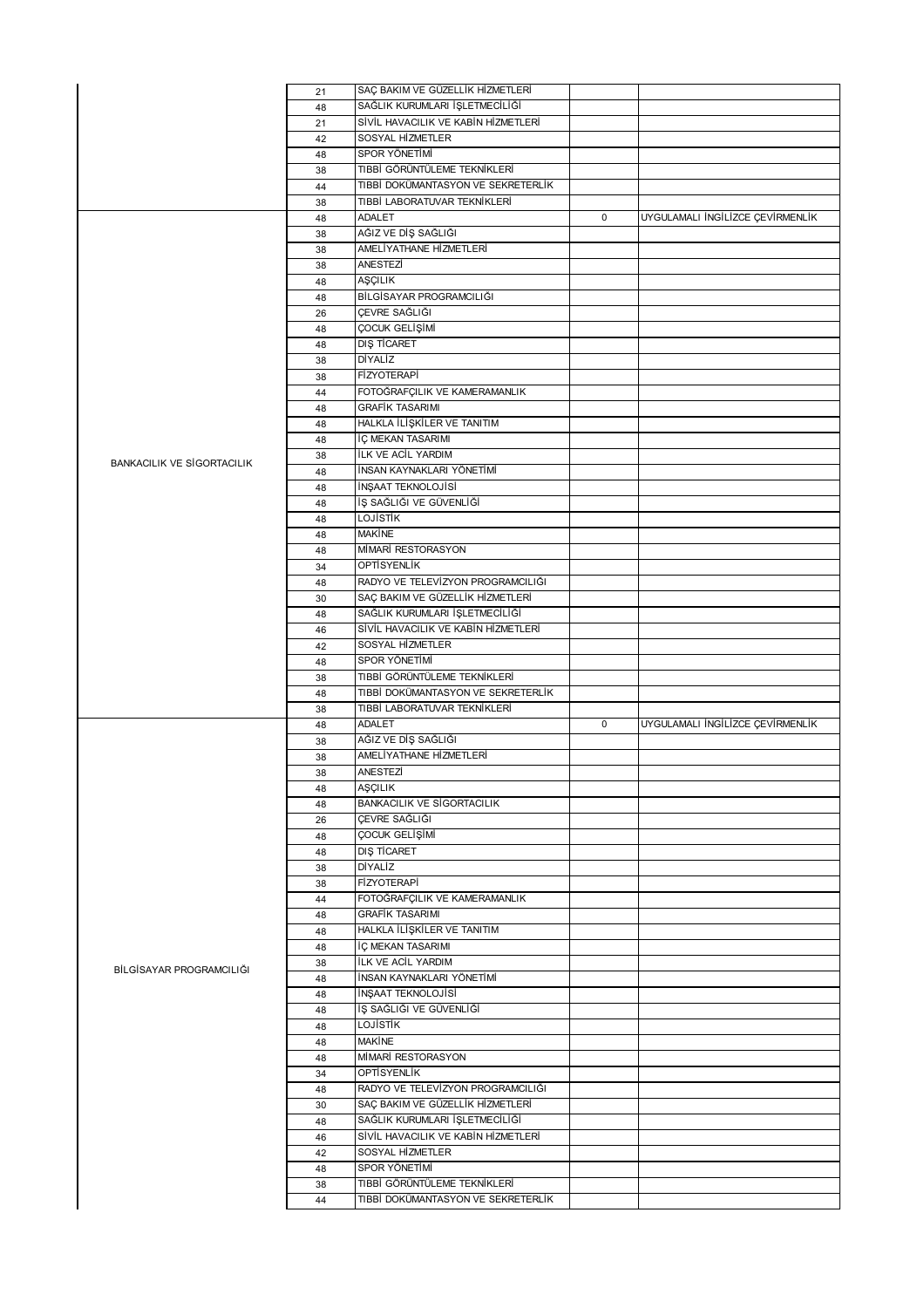|                                   | 21 | SAÇ BAKIM VE GÜZELLİK HİZMETLERİ    |             |                                  |
|-----------------------------------|----|-------------------------------------|-------------|----------------------------------|
|                                   | 48 | SAĞLIK KURUMLARI İŞLETMECİLİĞİ      |             |                                  |
|                                   |    |                                     |             |                                  |
|                                   | 21 | SİVİL HAVACILIK VE KABİN HİZMETLERİ |             |                                  |
|                                   | 42 | SOSYAL HIZMETLER                    |             |                                  |
|                                   | 48 | SPOR YÖNETİMİ                       |             |                                  |
|                                   | 38 | TIBBİ GÖRÜNTÜLEME TEKNİKLERİ        |             |                                  |
|                                   |    |                                     |             |                                  |
|                                   | 44 | TIBBİ DOKÜMANTASYON VE SEKRETERLİK  |             |                                  |
|                                   | 38 | TIBBİ LABORATUVAR TEKNİKLERİ        |             |                                  |
|                                   | 48 | ADALET                              | $\mathbf 0$ | UYGULAMALI İNGİLİZCE ÇEVİRMENLİK |
|                                   |    | AĞIZ VE DİŞ SAĞLIĞI                 |             |                                  |
|                                   | 38 |                                     |             |                                  |
|                                   | 38 | AMELİYATHANE HİZMETLERİ             |             |                                  |
|                                   | 38 | ANESTEZİ                            |             |                                  |
|                                   | 48 | AŞÇILIK                             |             |                                  |
|                                   |    | BİLGİSAYAR PROGRAMCILIĞI            |             |                                  |
|                                   | 48 |                                     |             |                                  |
|                                   | 26 | ÇEVRE SAĞLIĞI                       |             |                                  |
|                                   | 48 | ÇOCUK GELİŞİMİ                      |             |                                  |
|                                   | 48 | <b>DIŞ TİCARET</b>                  |             |                                  |
|                                   | 38 | DİYALİZ                             |             |                                  |
|                                   |    |                                     |             |                                  |
|                                   | 38 | <b>FİZYOTERAPİ</b>                  |             |                                  |
|                                   | 44 | FOTOĞRAFÇILIK VE KAMERAMANLIK       |             |                                  |
|                                   | 48 | <b>GRAFİK TASARIMI</b>              |             |                                  |
|                                   | 48 | HALKLA İLİŞKİLER VE TANITIM         |             |                                  |
|                                   |    |                                     |             |                                  |
|                                   | 48 | İÇ MEKAN TASARIMI                   |             |                                  |
| <b>BANKACILIK VE SİGORTACILIK</b> | 38 | ILK VE ACIL YARDIM                  |             |                                  |
|                                   | 48 | İNSAN KAYNAKLARI YÖNETİMİ           |             |                                  |
|                                   | 48 | İNŞAAT TEKNOLOJİSİ                  |             |                                  |
|                                   |    |                                     |             |                                  |
|                                   | 48 | İŞ SAĞLIĞI VE GÜVENLİĞİ             |             |                                  |
|                                   | 48 | <b>LOJISTIK</b>                     |             |                                  |
|                                   | 48 | <b>MAKİNE</b>                       |             |                                  |
|                                   | 48 | MİMARİ RESTORASYON                  |             |                                  |
|                                   |    |                                     |             |                                  |
|                                   | 34 | OPTİSYENLİK                         |             |                                  |
|                                   | 48 | RADYO VE TELEVÍZYON PROGRAMCILIĞI   |             |                                  |
|                                   | 30 | SAÇ BAKIM VE GÜZELLİK HİZMETLERİ    |             |                                  |
|                                   | 48 | SAĞLIK KURUMLARI İŞLETMECİLİĞİ      |             |                                  |
|                                   |    |                                     |             |                                  |
|                                   | 46 | SİVİL HAVACILIK VE KABİN HİZMETLERİ |             |                                  |
|                                   | 42 | SOSYAL HİZMETLER                    |             |                                  |
|                                   |    |                                     |             |                                  |
|                                   |    | SPOR YÖNETİMİ                       |             |                                  |
|                                   | 48 |                                     |             |                                  |
|                                   | 38 | TIBBİ GÖRÜNTÜLEME TEKNİKLERİ        |             |                                  |
|                                   | 48 | TIBBİ DOKÜMANTASYON VE SEKRETERLİK  |             |                                  |
|                                   | 38 | TIBBİ LABORATUVAR TEKNİKLERİ        |             |                                  |
|                                   |    | <b>ADALET</b>                       | $\pmb{0}$   | UYGULAMALI İNGİLİZCE ÇEVİRMENLİK |
|                                   | 48 |                                     |             |                                  |
|                                   | 38 | AĞIZ VE DİŞ SAĞLIĞI                 |             |                                  |
|                                   | 38 | AMELİYATHANE HİZMETLERİ             |             |                                  |
|                                   | 38 | ANESTEZİ                            |             |                                  |
|                                   |    |                                     |             |                                  |
|                                   | 48 | AŞÇILIK                             |             |                                  |
|                                   | 48 | <b>BANKACILIK VE SİGORTACILIK</b>   |             |                                  |
|                                   | 26 | ÇEVRE SAĞLIĞI                       |             |                                  |
|                                   | 48 | ÇOCUK GELİŞİMİ                      |             |                                  |
|                                   | 48 | DIS TİCARET                         |             |                                  |
|                                   |    | <b>DİYALİZ</b>                      |             |                                  |
|                                   | 38 |                                     |             |                                  |
|                                   | 38 | <b>FİZYOTERAPİ</b>                  |             |                                  |
|                                   | 44 | FOTOĞRAFCILIK VE KAMERAMANLIK       |             |                                  |
|                                   | 48 | <b>GRAFİK TASARIMI</b>              |             |                                  |
|                                   |    |                                     |             |                                  |
|                                   | 48 | HALKLA İLİŞKİLER VE TANITIM         |             |                                  |
|                                   | 48 | İÇ MEKAN TASARIMI                   |             |                                  |
| BİLGİSAYAR PROGRAMCILIĞI          | 38 | <b>İLK VE ACİL YARDIM</b>           |             |                                  |
|                                   | 48 | İNSAN KAYNAKLARI YÖNETİMİ           |             |                                  |
|                                   | 48 | İNŞAAT TEKNOLOJİSİ                  |             |                                  |
|                                   |    |                                     |             |                                  |
|                                   | 48 | İŞ SAĞLIĞI VE GÜVENLİĞİ             |             |                                  |
|                                   | 48 | LOJİSTİK                            |             |                                  |
|                                   | 48 | <b>MAKİNE</b>                       |             |                                  |
|                                   | 48 | MİMARİ RESTORASYON                  |             |                                  |
|                                   |    |                                     |             |                                  |
|                                   | 34 | OPTISYENLIK                         |             |                                  |
|                                   | 48 | RADYO VE TELEVİZYON PROGRAMCILIĞI   |             |                                  |
|                                   | 30 | SAÇ BAKIM VE GÜZELLİK HİZMETLERİ    |             |                                  |
|                                   | 48 | SAĞLIK KURUMLARI İŞLETMECİLİĞİ      |             |                                  |
|                                   |    |                                     |             |                                  |
|                                   | 46 | SİVİL HAVACILIK VE KABİN HİZMETLERİ |             |                                  |
|                                   | 42 | SOSYAL HİZMETLER                    |             |                                  |
|                                   | 48 | SPOR YÖNETİMİ                       |             |                                  |
|                                   | 38 | TIBBİ GÖRÜNTÜLEME TEKNİKLERİ        |             |                                  |
|                                   | 44 | TIBBİ DOKÜMANTASYON VE SEKRETERLİK  |             |                                  |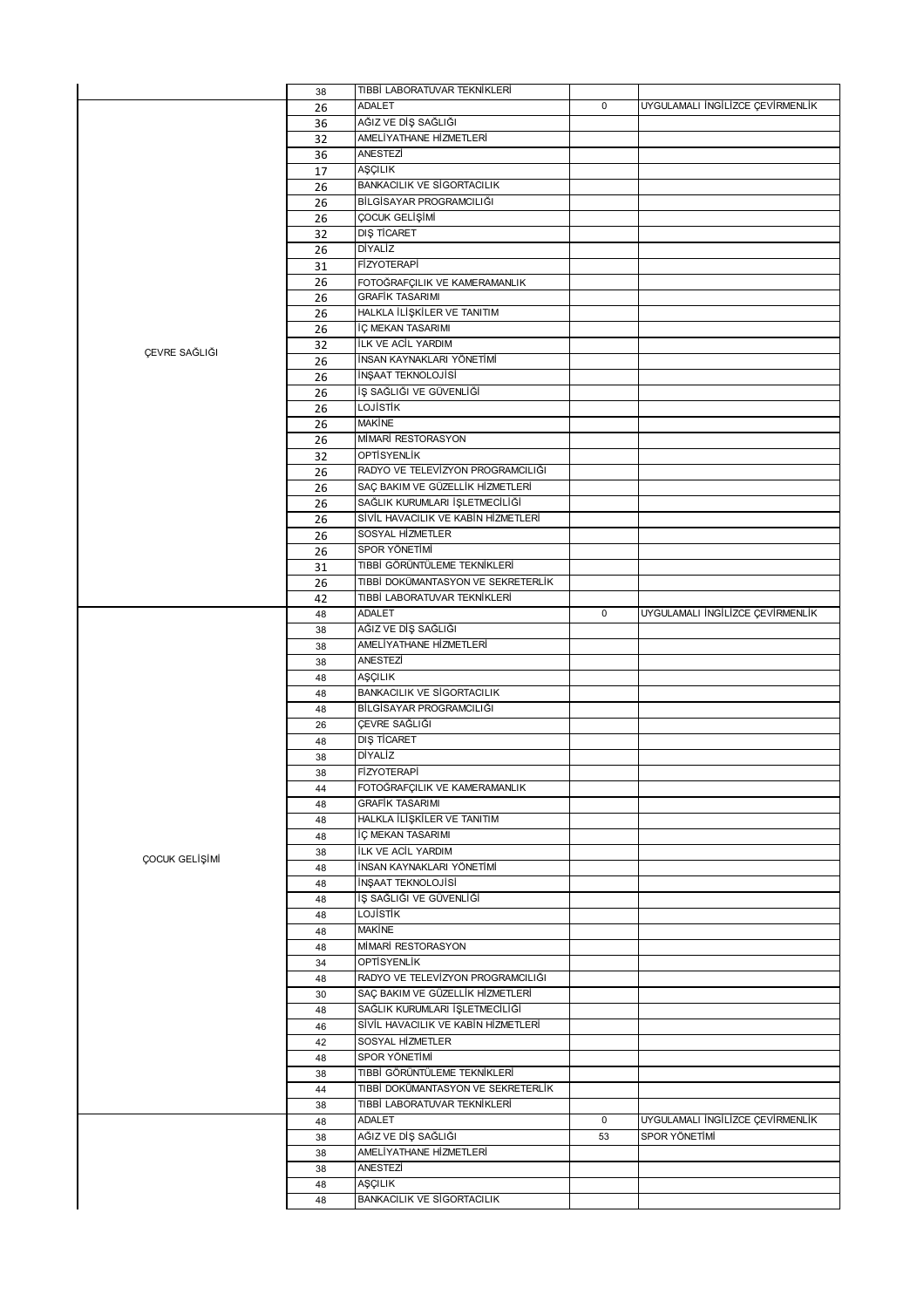|                | 38       | TIBBİ LABORATUVAR TEKNİKLERİ                            |             |                                  |
|----------------|----------|---------------------------------------------------------|-------------|----------------------------------|
|                | 26       | <b>ADALET</b>                                           | $\mathbf 0$ | UYGULAMALI İNGİLİZCE ÇEVİRMENLİK |
|                | 36       | AĞIZ VE DİŞ SAĞLIĞI                                     |             |                                  |
|                | 32       | AMELİYATHANE HİZMETLERİ                                 |             |                                  |
|                | 36       | ANESTEZİ                                                |             |                                  |
|                | 17       | <b>AŞÇILIK</b>                                          |             |                                  |
|                | 26       | <b>BANKACILIK VE SİGORTACILIK</b>                       |             |                                  |
|                | 26       | BİLGİSAYAR PROGRAMCILIĞI                                |             |                                  |
|                | 26       | ÇOCUK GELİŞİMİ                                          |             |                                  |
|                | 32       | DIŞ TİCARET                                             |             |                                  |
|                |          | DİYALİZ                                                 |             |                                  |
|                | 26       | <b>FİZYOTERAPİ</b>                                      |             |                                  |
|                | 31       |                                                         |             |                                  |
|                | 26       | FOTOĞRAFÇILIK VE KAMERAMANLIK<br><b>GRAFİK TASARIMI</b> |             |                                  |
|                | 26       |                                                         |             |                                  |
|                | 26       | HALKLA İLİŞKİLER VE TANITIM                             |             |                                  |
|                | 26       | İÇ MEKAN TASARIMI                                       |             |                                  |
| ÇEVRE SAĞLIĞI  | 32       | ILK VE ACIL YARDIM                                      |             |                                  |
|                | 26       | İNSAN KAYNAKLARI YÖNETİMİ                               |             |                                  |
|                | 26       | İNŞAAT TEKNOLOJİSİ                                      |             |                                  |
|                | 26       | İŞ SAĞLIĞI VE GÜVENLİĞİ                                 |             |                                  |
|                | 26       | <b>LOJISTIK</b>                                         |             |                                  |
|                | 26       | <b>MAKINE</b>                                           |             |                                  |
|                | 26       | MİMARİ RESTORASYON                                      |             |                                  |
|                | 32       | OPTISYENLIK                                             |             |                                  |
|                | 26       | RADYO VE TELEVÍZYON PROGRAMCILIĞI                       |             |                                  |
|                | 26       | SAÇ BAKIM VE GÜZELLİK HİZMETLERİ                        |             |                                  |
|                | 26       | SAĞLIK KURUMLARI İŞLETMECİLİĞİ                          |             |                                  |
|                | 26       | SİVİL HAVACILIK VE KABİN HİZMETLERİ                     |             |                                  |
|                | 26       | SOSYAL HİZMETLER                                        |             |                                  |
|                | 26       | SPOR YÖNETİMİ                                           |             |                                  |
|                | 31       | TIBBİ GÖRÜNTÜLEME TEKNİKLERİ                            |             |                                  |
|                | 26       | TIBBİ DOKÜMANTASYON VE SEKRETERLİK                      |             |                                  |
|                | 42       | TIBBİ LABORATUVAR TEKNİKLERİ                            |             |                                  |
|                | 48       | ADALET                                                  | $\mathbf 0$ | UYGULAMALI İNGİLİZCE ÇEVİRMENLİK |
|                | 38       | AĞIZ VE DİŞ SAĞLIĞI                                     |             |                                  |
|                |          | AMELİYATHANE HİZMETLERİ                                 |             |                                  |
|                |          |                                                         |             |                                  |
|                | 38       |                                                         |             |                                  |
|                | 38       | ANESTEZİ                                                |             |                                  |
|                | 48       | AŞÇILIK                                                 |             |                                  |
|                | 48       | <b>BANKACILIK VE SİGORTACILIK</b>                       |             |                                  |
|                | 48       | BİLGİSAYAR PROGRAMCILIĞI                                |             |                                  |
|                | 26       | ÇEVRE SAĞLIĞI                                           |             |                                  |
|                | 48       | <b>DIŞ TİCARET</b>                                      |             |                                  |
|                | 38       | DİYALİZ                                                 |             |                                  |
|                | 38       | FİZYOTERAPİ                                             |             |                                  |
|                | 44       | FOTOĞRAFÇILIK VE KAMERAMANLIK                           |             |                                  |
|                | 48       | <b>GRAFİK TASARIMI</b>                                  |             |                                  |
|                | 48       | HALKLA İLİŞKİLER VE TANITIM                             |             |                                  |
|                | 48       | İÇ MEKAN TASARIMI                                       |             |                                  |
|                | 38       | <b>ILK VE ACIL YARDIM</b>                               |             |                                  |
| ÇOCUK GELİŞİMİ | 48       | İNSAN KAYNAKLARI YÖNETİMİ                               |             |                                  |
|                | 48       | İNŞAAT TEKNOLOJİSİ                                      |             |                                  |
|                | 48       | İŞ SAĞLIĞI VE GÜVENLİĞİ                                 |             |                                  |
|                | 48       | LOJİSTİK                                                |             |                                  |
|                | 48       | <b>MAKİNE</b>                                           |             |                                  |
|                | 48       | MİMARİ RESTORASYON                                      |             |                                  |
|                | 34       | OPTİSYENLİK                                             |             |                                  |
|                | 48       | RADYO VE TELEVÍZYON PROGRAMCILIĞI                       |             |                                  |
|                | 30       | SAÇ BAKIM VE GÜZELLİK HİZMETLERİ                        |             |                                  |
|                | 48       | SAĞLIK KURUMLARI İŞLETMECİLİĞİ                          |             |                                  |
|                | 46       | SİVİL HAVACILIK VE KABİN HİZMETLERİ                     |             |                                  |
|                | 42       | SOSYAL HİZMETLER                                        |             |                                  |
|                | 48       | SPOR YÖNETİMİ                                           |             |                                  |
|                | 38       | TIBBİ GÖRÜNTÜLEME TEKNİKLERİ                            |             |                                  |
|                | 44       | TIBBİ DOKÜMANTASYON VE SEKRETERLİK                      |             |                                  |
|                | 38       | TIBBİ LABORATUVAR TEKNİKLERİ                            |             |                                  |
|                | 48       | <b>ADALET</b>                                           | $\mathbf 0$ | UYGULAMALI İNGİLİZCE ÇEVİRMENLİK |
|                |          |                                                         | 53          | SPOR YÖNETİMİ                    |
|                | 38       | AĞIZ VE DİŞ SAĞLIĞI<br>AMELİYATHANE HİZMETLERİ          |             |                                  |
|                | 38       |                                                         |             |                                  |
|                | 38       | ANESTEZİ                                                |             |                                  |
|                | 48<br>48 | AŞÇILIK<br><b>BANKACILIK VE SİGORTACILIK</b>            |             |                                  |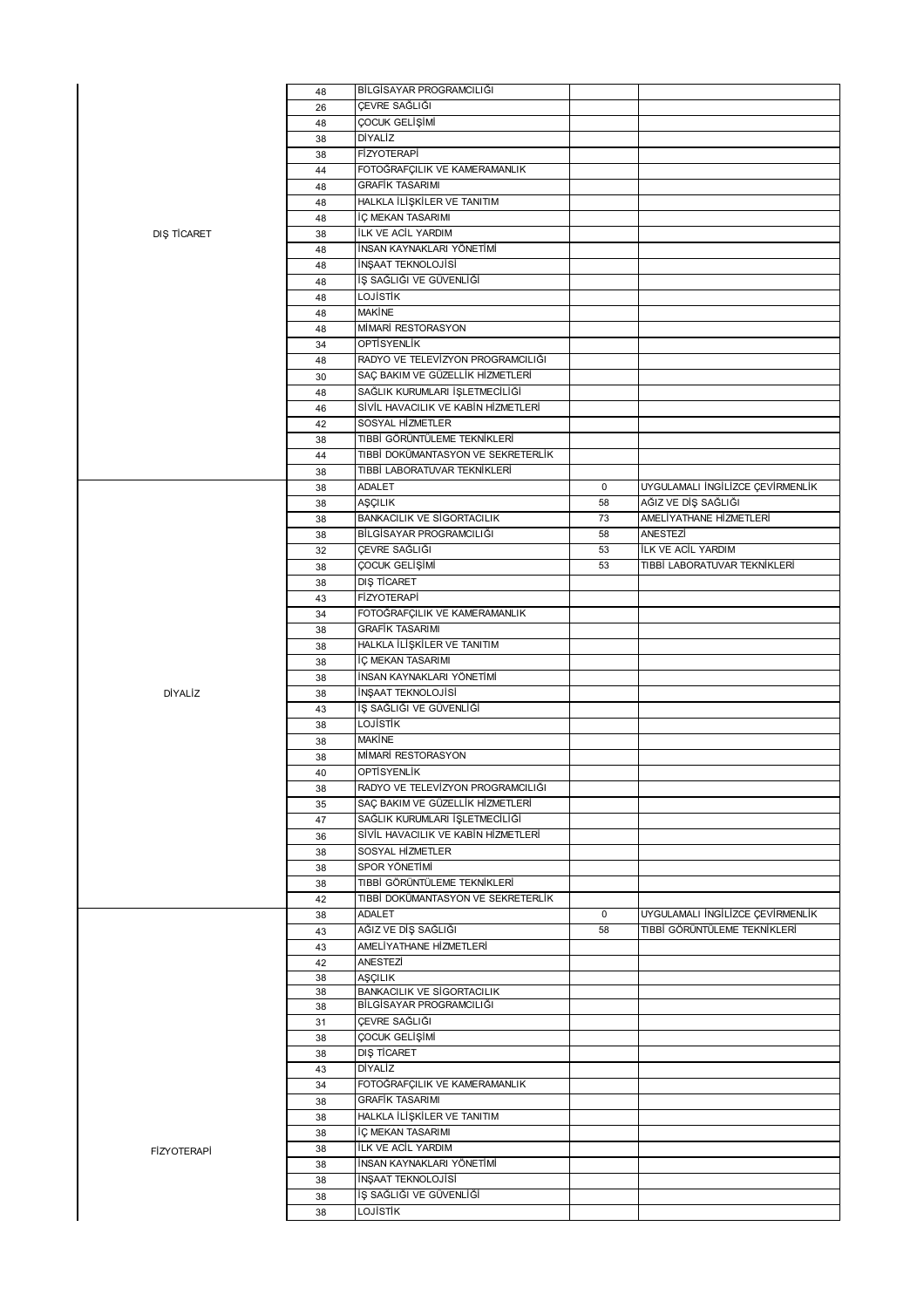|                    | 48       | BİLGİSAYAR PROGRAMCILIĞI            |             |                                                         |
|--------------------|----------|-------------------------------------|-------------|---------------------------------------------------------|
|                    | 26       | CEVRE SAĞLIĞI                       |             |                                                         |
|                    | 48       | ÇOCUK GELİŞİMİ                      |             |                                                         |
|                    | 38       | DİYALİZ                             |             |                                                         |
|                    | 38       | <b>FİZYOTERAPİ</b>                  |             |                                                         |
|                    | 44       | FOTOĞRAFÇILIK VE KAMERAMANLIK       |             |                                                         |
|                    | 48       | <b>GRAFİK TASARIMI</b>              |             |                                                         |
|                    | 48       | HALKLA İLİŞKİLER VE TANITIM         |             |                                                         |
|                    | 48       | İÇ MEKAN TASARIMI                   |             |                                                         |
| DIŞ TİCARET        | 38       | <b>İLK VE ACİL YARDIM</b>           |             |                                                         |
|                    | 48       | İNSAN KAYNAKLARI YÖNETİMİ           |             |                                                         |
|                    | 48       | İNŞAAT TEKNOLOJİSİ                  |             |                                                         |
|                    | 48       | İŞ SAĞLIĞI VE GÜVENLİĞİ             |             |                                                         |
|                    | 48       | <b>LOJISTIK</b>                     |             |                                                         |
|                    | 48       | <b>MAKINE</b>                       |             |                                                         |
|                    | 48       | MİMARİ RESTORASYON                  |             |                                                         |
|                    | 34       | OPTISYENLIK                         |             |                                                         |
|                    | 48       | RADYO VE TELEVÍZYON PROGRAMCILIĞI   |             |                                                         |
|                    | 30       | SAÇ BAKIM VE GÜZELLİK HİZMETLERİ    |             |                                                         |
|                    | 48       | SAĞLIK KURUMLARI İŞLETMECİLİĞİ      |             |                                                         |
|                    | 46       | SİVİL HAVACILIK VE KABİN HİZMETLERİ |             |                                                         |
|                    |          | SOSYAL HİZMETLER                    |             |                                                         |
|                    | 42       | TIBBİ GÖRÜNTÜLEME TEKNİKLERİ        |             |                                                         |
|                    | 38       | TIBBİ DOKÜMANTASYON VE SEKRETERLİK  |             |                                                         |
|                    | 44       | TIBBİ LABORATUVAR TEKNİKLERİ        |             |                                                         |
|                    | 38       |                                     |             |                                                         |
|                    | 38       | ADALET                              | $\mathbf 0$ | UYGULAMALI İNGİLİZCE ÇEVİRMENLİK<br>AĞIZ VE DİŞ SAĞLIĞI |
|                    | 38       | AŞÇILIK                             | 58          | AMELİYATHANE HİZMETLERİ                                 |
|                    | 38       | <b>BANKACILIK VE SİGORTACILIK</b>   | 73          |                                                         |
|                    | 38       | BİLGİSAYAR PROGRAMCILIĞI            | 58          | ANESTEZİ                                                |
|                    | 32       | ÇEVRE SAĞLIĞI                       | 53          | <b>İLK VE ACİL YARDIM</b>                               |
|                    | 38       | ÇOCUK GELİŞİMİ                      | 53          | TIBBİ LABORATUVAR TEKNİKLERİ                            |
|                    | 38       | <b>DIŞ TİCARET</b>                  |             |                                                         |
|                    | 43       | FİZYOTERAPİ                         |             |                                                         |
|                    | 34       | FOTOĞRAFÇILIK VE KAMERAMANLIK       |             |                                                         |
|                    | 38       | <b>GRAFİK TASARIMI</b>              |             |                                                         |
|                    | 38       | HALKLA İLİŞKİLER VE TANITIM         |             |                                                         |
|                    |          | İÇ MEKAN TASARIMI                   |             |                                                         |
|                    | 38       |                                     |             |                                                         |
|                    | 38       | İNSAN KAYNAKLARI YÖNETİMİ           |             |                                                         |
| DİYALİZ            | 38       | İNŞAAT TEKNOLOJİSİ                  |             |                                                         |
|                    | 43       | İŞ SAĞLIĞI VE GÜVENLİĞİ             |             |                                                         |
|                    | 38       | <b>LOJISTIK</b>                     |             |                                                         |
|                    | 38       | <b>MAKINE</b>                       |             |                                                         |
|                    | 38       | MİMARİ RESTORASYON                  |             |                                                         |
|                    | 40       | OPTISYENLIK                         |             |                                                         |
|                    | 38       | RADYO VE TELEVİZYON PROGRAMCILIĞI   |             |                                                         |
|                    | 35       | SAÇ BAKIM VE GÜZELLİK HİZMETLERİ    |             |                                                         |
|                    | 47       | SAĞLIK KURUMLARI İŞLETMECİLİĞİ      |             |                                                         |
|                    | 36       | SİVİL HAVACILIK VE KABİN HİZMETLERİ |             |                                                         |
|                    | 38       | SOSYAL HİZMETLER                    |             |                                                         |
|                    | 38       | SPOR YÖNETİMİ                       |             |                                                         |
|                    | 38       | TIBBİ GÖRÜNTÜLEME TEKNİKLERİ        |             |                                                         |
|                    | 42       | TIBBİ DOKÜMANTASYON VE SEKRETERLİK  |             |                                                         |
|                    | 38       | <b>ADALET</b>                       | $\mathbf 0$ | UYGULAMALI İNGİLİZCE ÇEVİRMENLİK                        |
|                    | 43       | AĞIZ VE DİŞ SAĞLIĞI                 | 58          | TIBBİ GÖRÜNTÜLEME TEKNİKLERİ                            |
|                    | 43       | AMELİYATHANE HİZMETLERİ             |             |                                                         |
|                    | 42       | ANESTEZİ                            |             |                                                         |
|                    | 38       | <b>AŞÇILIK</b>                      |             |                                                         |
|                    | 38       | <b>BANKACILIK VE SİGORTACILIK</b>   |             |                                                         |
|                    | 38       | BİLGİSAYAR PROGRAMCILIĞI            |             |                                                         |
|                    | 31       | ÇEVRE SAĞLIĞI                       |             |                                                         |
|                    | 38       | ÇOCUK GELİŞİMİ                      |             |                                                         |
|                    | 38       | DIS TİCARET                         |             |                                                         |
|                    | 43       | DİYALİZ                             |             |                                                         |
|                    | 34       | FOTOĞRAFÇILIK VE KAMERAMANLIK       |             |                                                         |
|                    | 38       | <b>GRAFİK TASARIMI</b>              |             |                                                         |
|                    | 38       | HALKLA İLİŞKİLER VE TANITIM         |             |                                                         |
|                    | 38       | İÇ MEKAN TASARIMI                   |             |                                                         |
| <b>FİZYOTERAPİ</b> | 38       | <b>İLK VE ACİL YARDIM</b>           |             |                                                         |
|                    | 38       | İNSAN KAYNAKLARI YÖNETİMİ           |             |                                                         |
|                    | 38       | İNŞAAT TEKNOLOJİSİ                  |             |                                                         |
|                    | 38<br>38 | İŞ SAĞLIĞI VE GÜVENLİĞİ<br>LOJİSTİK |             |                                                         |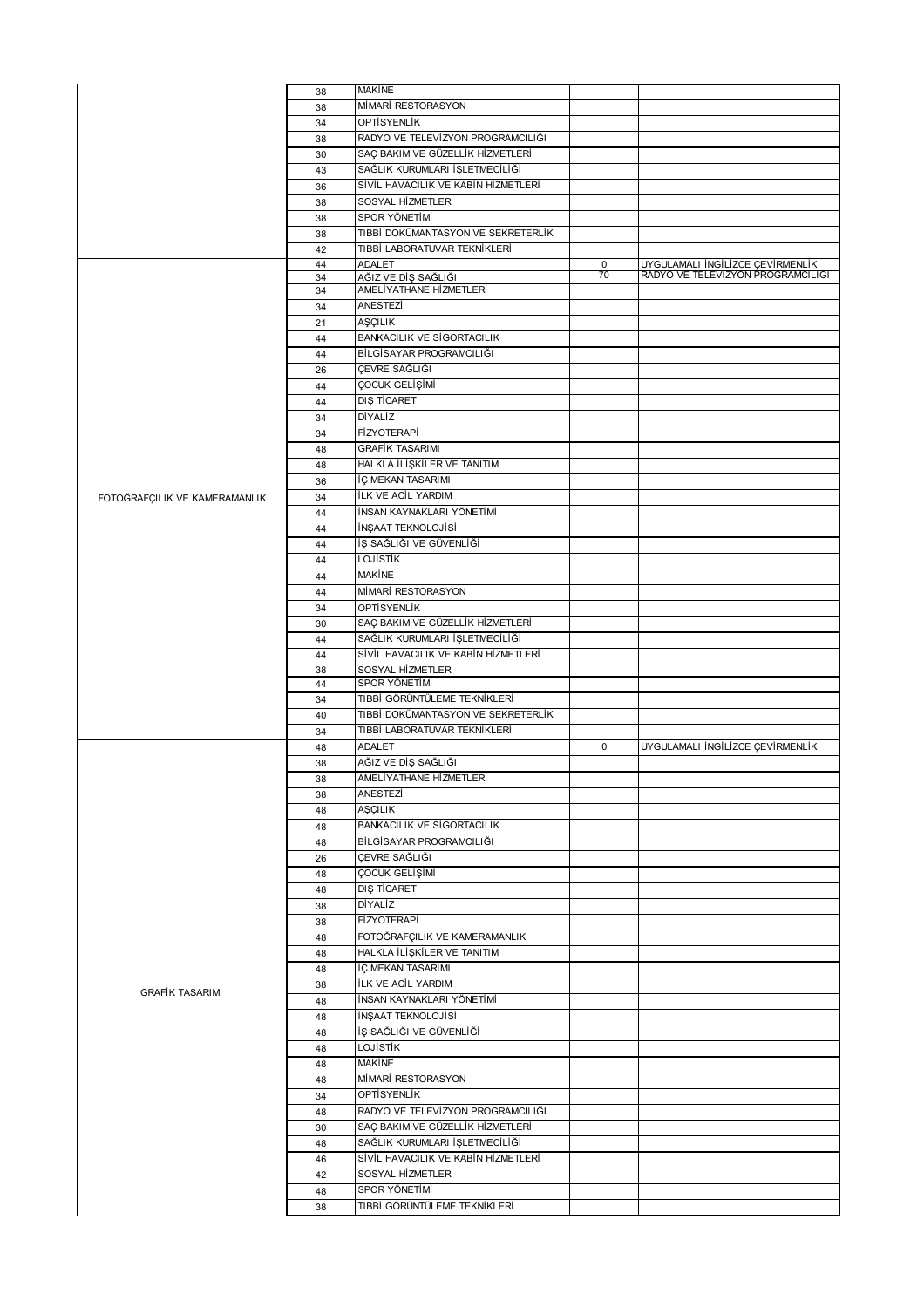|                               | 38 | <b>MAKİNE</b>                       |             |                                                                       |
|-------------------------------|----|-------------------------------------|-------------|-----------------------------------------------------------------------|
|                               | 38 | MİMARİ RESTORASYON                  |             |                                                                       |
|                               | 34 | OPTISYENLIK                         |             |                                                                       |
|                               | 38 | RADYO VE TELEVİZYON PROGRAMCILIĞI   |             |                                                                       |
|                               | 30 | SAÇ BAKIM VE GÜZELLİK HİZMETLERİ    |             |                                                                       |
|                               | 43 | SAĞLIK KURUMLARI İŞLETMECİLİĞİ      |             |                                                                       |
|                               | 36 | SİVİL HAVACILIK VE KABİN HİZMETLERİ |             |                                                                       |
|                               | 38 | SOSYAL HİZMETLER                    |             |                                                                       |
|                               | 38 | SPOR YÖNETİMİ                       |             |                                                                       |
|                               | 38 | TIBBİ DOKÜMANTASYON VE SEKRETERLİK  |             |                                                                       |
|                               | 42 | TIBBİ LABORATUVAR TEKNİKLERİ        |             |                                                                       |
|                               | 44 | <b>ADALET</b>                       | $\mathbf 0$ |                                                                       |
|                               | 34 | AĞIZ VE DİŞ SAĞLIĞI                 | 70          | UYGULAMALI İNGİLİZCE ÇEVİRMENLİK<br>RADYO VE TELEVIZYON PROGRAMCILIĞI |
|                               | 34 | AMELİYATHANE HİZMETLERİ             |             |                                                                       |
|                               | 34 | ANESTEZİ                            |             |                                                                       |
|                               | 21 | AŞÇILIK                             |             |                                                                       |
|                               | 44 | <b>BANKACILIK VE SİGORTACILIK</b>   |             |                                                                       |
|                               | 44 | BİLGİSAYAR PROGRAMCILIĞI            |             |                                                                       |
|                               | 26 | ÇEVRE SAĞLIĞI                       |             |                                                                       |
|                               | 44 | ÇOCUK GELİŞİMİ                      |             |                                                                       |
|                               | 44 | DIS TİCARET                         |             |                                                                       |
|                               | 34 | <b>DİYALİZ</b>                      |             |                                                                       |
|                               | 34 | <b>FİZYOTERAPİ</b>                  |             |                                                                       |
|                               | 48 | <b>GRAFİK TASARIMI</b>              |             |                                                                       |
|                               | 48 | HALKLA İLİŞKİLER VE TANITIM         |             |                                                                       |
|                               | 36 | İÇ MEKAN TASARIMI                   |             |                                                                       |
|                               | 34 | <b>ILK VE ACIL YARDIM</b>           |             |                                                                       |
| FOTOĞRAFÇILIK VE KAMERAMANLIK |    | İNSAN KAYNAKLARI YÖNETİMİ           |             |                                                                       |
|                               | 44 | İNŞAAT TEKNOLOJİSİ                  |             |                                                                       |
|                               | 44 | İŞ SAĞLIĞI VE GÜVENLİĞİ             |             |                                                                       |
|                               | 44 |                                     |             |                                                                       |
|                               | 44 | <b>LOJISTIK</b>                     |             |                                                                       |
|                               | 44 | <b>MAKINE</b>                       |             |                                                                       |
|                               | 44 | MİMARİ RESTORASYON                  |             |                                                                       |
|                               | 34 | <b>OPTİSYENLİK</b>                  |             |                                                                       |
|                               | 30 | SAÇ BAKIM VE GÜZELLİK HİZMETLERİ    |             |                                                                       |
|                               | 44 | SAĞLIK KURUMLARI İŞLETMECİLİĞİ      |             |                                                                       |
|                               | 44 | SİVİL HAVACILIK VE KABİN HİZMETLERİ |             |                                                                       |
|                               | 38 | SOSYAL HİZMETLER<br>SPOR YÖNETİMİ   |             |                                                                       |
|                               | 44 | TIBBİ GÖRÜNTÜLEME TEKNİKLERİ        |             |                                                                       |
|                               | 34 |                                     |             |                                                                       |
|                               | 40 | TIBBİ DOKÜMANTASYON VE SEKRETERLİK  |             |                                                                       |
|                               | 34 | TIBBİ LABORATUVAR TEKNİKLERİ        |             |                                                                       |
|                               | 48 | ADALET                              | $\mathbf 0$ | UYGULAMALI İNGİLİZCE ÇEVİRMENLİK                                      |
|                               | 38 | AĞIZ VE DİŞ SAĞLIĞI                 |             |                                                                       |
|                               | 38 | AMELİYATHANE HİZMETLERİ             |             |                                                                       |
|                               | 38 | ANESTEZİ                            |             |                                                                       |
|                               | 48 | AŞÇILIK                             |             |                                                                       |
|                               | 48 | <b>BANKACILIK VE SİGORTACILIK</b>   |             |                                                                       |
|                               | 48 | BİLGİSAYAR PROGRAMCILIĞI            |             |                                                                       |
|                               | 26 | ÇEVRE SAĞLIĞI                       |             |                                                                       |
|                               | 48 | ÇOCUK GELİŞİMİ                      |             |                                                                       |
|                               | 48 | DIŞ TİCARET                         |             |                                                                       |
|                               | 38 | DİYALİZ                             |             |                                                                       |
|                               | 38 | FİZYOTERAPİ                         |             |                                                                       |
|                               | 48 | FOTOĞRAFÇILIK VE KAMERAMANLIK       |             |                                                                       |
|                               | 48 | HALKLA İLİŞKİLER VE TANITIM         |             |                                                                       |
|                               | 48 | İÇ MEKAN TASARIMI                   |             |                                                                       |
| <b>GRAFIK TASARIMI</b>        | 38 | İLK VE ACİL YARDIM                  |             |                                                                       |
|                               | 48 | İNSAN KAYNAKLARI YÖNETİMİ           |             |                                                                       |
|                               | 48 | İNŞAAT TEKNOLOJİSİ                  |             |                                                                       |
|                               | 48 | İŞ SAĞLIĞI VE GÜVENLİĞİ             |             |                                                                       |
|                               | 48 | LOJİSTİK                            |             |                                                                       |
|                               | 48 | <b>MAKINE</b>                       |             |                                                                       |
|                               | 48 | MİMARİ RESTORASYON                  |             |                                                                       |
|                               | 34 | OPTİSYENLİK                         |             |                                                                       |
|                               | 48 | RADYO VE TELEVİZYON PROGRAMCILIĞI   |             |                                                                       |
|                               | 30 | SAÇ BAKIM VE GÜZELLİK HİZMETLERİ    |             |                                                                       |
|                               | 48 | SAĞLIK KURUMLARI İŞLETMECİLİĞİ      |             |                                                                       |
|                               | 46 | SİVİL HAVACILIK VE KABİN HİZMETLERİ |             |                                                                       |
|                               | 42 | SOSYAL HİZMETLER                    |             |                                                                       |
|                               | 48 | SPOR YÖNETİMİ                       |             |                                                                       |
|                               | 38 | TIBBİ GÖRÜNTÜLEME TEKNİKLERİ        |             |                                                                       |
|                               |    |                                     |             |                                                                       |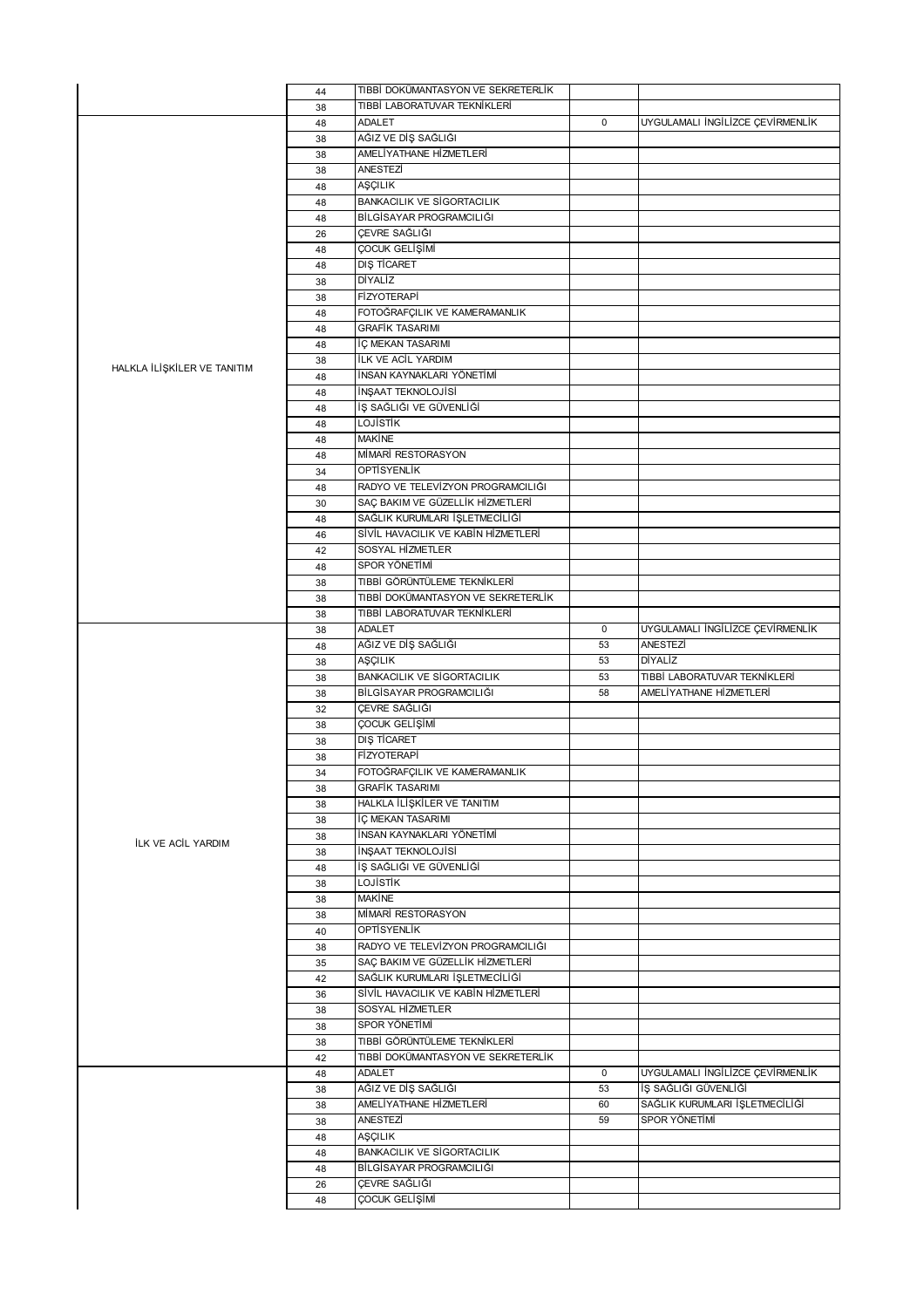|                             | 44       | TIBBİ DOKÜMANTASYON VE SEKRETERLİK                                 |             |                                  |
|-----------------------------|----------|--------------------------------------------------------------------|-------------|----------------------------------|
|                             | 38       | TIBBİ LABORATUVAR TEKNİKLERİ                                       |             |                                  |
|                             | 48       | <b>ADALET</b>                                                      | $\mathbf 0$ | UYGULAMALI İNGİLİZCE ÇEVİRMENLİK |
|                             | 38       | AĞIZ VE DİŞ SAĞLIĞI                                                |             |                                  |
|                             | 38       | AMELİYATHANE HİZMETLERİ                                            |             |                                  |
|                             | 38       | ANESTEZİ                                                           |             |                                  |
|                             | 48       | AŞÇILIK                                                            |             |                                  |
|                             | 48       | <b>BANKACILIK VE SİGORTACILIK</b>                                  |             |                                  |
|                             | 48       | BİLGİSAYAR PROGRAMCILIĞI                                           |             |                                  |
|                             | 26       | ÇEVRE SAĞLIĞI                                                      |             |                                  |
|                             | 48       | ÇOCUK GELİŞİMİ                                                     |             |                                  |
|                             | 48       | DIŞ TİCARET                                                        |             |                                  |
|                             | 38       | DİYALİZ                                                            |             |                                  |
|                             | 38       | <b>FİZYOTERAPİ</b>                                                 |             |                                  |
|                             | 48       | FOTOĞRAFÇILIK VE KAMERAMANLIK                                      |             |                                  |
|                             | 48       | <b>GRAFİK TASARIMI</b>                                             |             |                                  |
|                             | 48       | İÇ MEKAN TASARIMI                                                  |             |                                  |
| HALKLA İLİŞKİLER VE TANITIM | 38       | ILK VE ACIL YARDIM                                                 |             |                                  |
|                             | 48       | İNSAN KAYNAKLARI YÖNETİMİ                                          |             |                                  |
|                             | 48       | <b>INSAAT TEKNOLOJISI</b>                                          |             |                                  |
|                             | 48       | İŞ SAĞLIĞI VE GÜVENLİĞİ                                            |             |                                  |
|                             | 48       | LOJİSTİK                                                           |             |                                  |
|                             | 48       | <b>MAKINE</b><br>MİMARİ RESTORASYON                                |             |                                  |
|                             | 48       | OPTISYENLIK                                                        |             |                                  |
|                             | 34       |                                                                    |             |                                  |
|                             | 48       | RADYO VE TELEVÍZYON PROGRAMCILIĞI                                  |             |                                  |
|                             | 30       | SAÇ BAKIM VE GÜZELLİK HİZMETLERİ<br>SAĞLIK KURUMLARI İŞLETMECİLİĞİ |             |                                  |
|                             | 48       | SİVİL HAVACILIK VE KABİN HİZMETLERİ                                |             |                                  |
|                             | 46       | SOSYAL HİZMETLER                                                   |             |                                  |
|                             | 42       | SPOR YÖNETİMİ                                                      |             |                                  |
|                             | 48       | TIBBİ GÖRÜNTÜLEME TEKNİKLERİ                                       |             |                                  |
|                             | 38<br>38 | TIBBİ DOKÜMANTASYON VE SEKRETERLİK                                 |             |                                  |
|                             | 38       | TIBBİ LABORATUVAR TEKNİKLERİ                                       |             |                                  |
|                             | 38       | <b>ADALET</b>                                                      | $\mathbf 0$ | UYGULAMALI İNGİLİZCE ÇEVİRMENLİK |
|                             | 48       | AĞIZ VE DİŞ SAĞLIĞI                                                | 53          | ANESTEZİ                         |
|                             |          |                                                                    |             |                                  |
|                             |          |                                                                    |             |                                  |
|                             | 38       | AŞÇILIK                                                            | 53          | DİYALİZ                          |
|                             | 38       | <b>BANKACILIK VE SİGORTACILIK</b>                                  | 53          | TIBBİ LABORATUVAR TEKNİKLERİ     |
|                             | 38       | BİLGİSAYAR PROGRAMCILIĞI                                           | 58          | AMELİYATHANE HİZMETLERİ          |
|                             | 32       | ÇEVRE SAĞLIĞI                                                      |             |                                  |
|                             | 38       | ÇOCUK GELİŞİMİ                                                     |             |                                  |
|                             | 38       | DIS TİCARET                                                        |             |                                  |
|                             | 38       | <b>FİZYOTERAPİ</b>                                                 |             |                                  |
|                             | 34       | FOTOĞRAFÇILIK VE KAMERAMANLIK<br><b>GRAFİK TASARIMI</b>            |             |                                  |
|                             | 38       | HALKLA İLİŞKİLER VE TANITIM                                        |             |                                  |
|                             | 38       | İÇ MEKAN TASARIMI                                                  |             |                                  |
|                             | 38<br>38 | İNSAN KAYNAKLARI YÖNETİMİ                                          |             |                                  |
| <b>İLK VE ACİL YARDIM</b>   | 38       | İNŞAAT TEKNOLOJİSİ                                                 |             |                                  |
|                             | 48       | İŞ SAĞLIĞI VE GÜVENLİĞİ                                            |             |                                  |
|                             | 38       | <b>LOJISTIK</b>                                                    |             |                                  |
|                             | 38       | <b>MAKİNE</b>                                                      |             |                                  |
|                             | 38       | MİMARİ RESTORASYON                                                 |             |                                  |
|                             | 40       | <b>OPTISYENLIK</b>                                                 |             |                                  |
|                             | 38       | RADYO VE TELEVÍZYON PROGRAMCILIĞI                                  |             |                                  |
|                             | 35       | SAÇ BAKIM VE GÜZELLİK HİZMETLERİ                                   |             |                                  |
|                             | 42       | SAĞLIK KURUMLARI İŞLETMECİLİĞİ                                     |             |                                  |
|                             | 36       | SİVİL HAVACILIK VE KABİN HİZMETLERİ                                |             |                                  |
|                             | 38       | SOSYAL HİZMETLER                                                   |             |                                  |
|                             | 38       | SPOR YÖNETİMİ                                                      |             |                                  |
|                             | 38       | TIBBİ GÖRÜNTÜLEME TEKNİKLERİ                                       |             |                                  |
|                             | 42       | TIBBİ DOKÜMANTASYON VE SEKRETERLİK                                 |             |                                  |
|                             | 48       | ADALET                                                             | $\mathbf 0$ | UYGULAMALI İNGİLİZCE ÇEVİRMENLİK |
|                             | 38       | AĞIZ VE DİŞ SAĞLIĞI                                                | 53          | İŞ SAĞLIĞI GÜVENLİĞİ             |
|                             | 38       | AMELİYATHANE HİZMETLERİ                                            | 60          | SAĞLIK KURUMLARI İŞLETMECİLİĞİ   |
|                             | 38       | ANESTEZİ                                                           | 59          | SPOR YÖNETİMİ                    |
|                             | 48       | AŞÇILIK                                                            |             |                                  |
|                             | 48       | <b>BANKACILIK VE SİGORTACILIK</b>                                  |             |                                  |
|                             | 48       | BİLGİSAYAR PROGRAMCILIĞI                                           |             |                                  |
|                             | 26<br>48 | ÇEVRE SAĞLIĞI<br>ÇOCUK GELİŞİMİ                                    |             |                                  |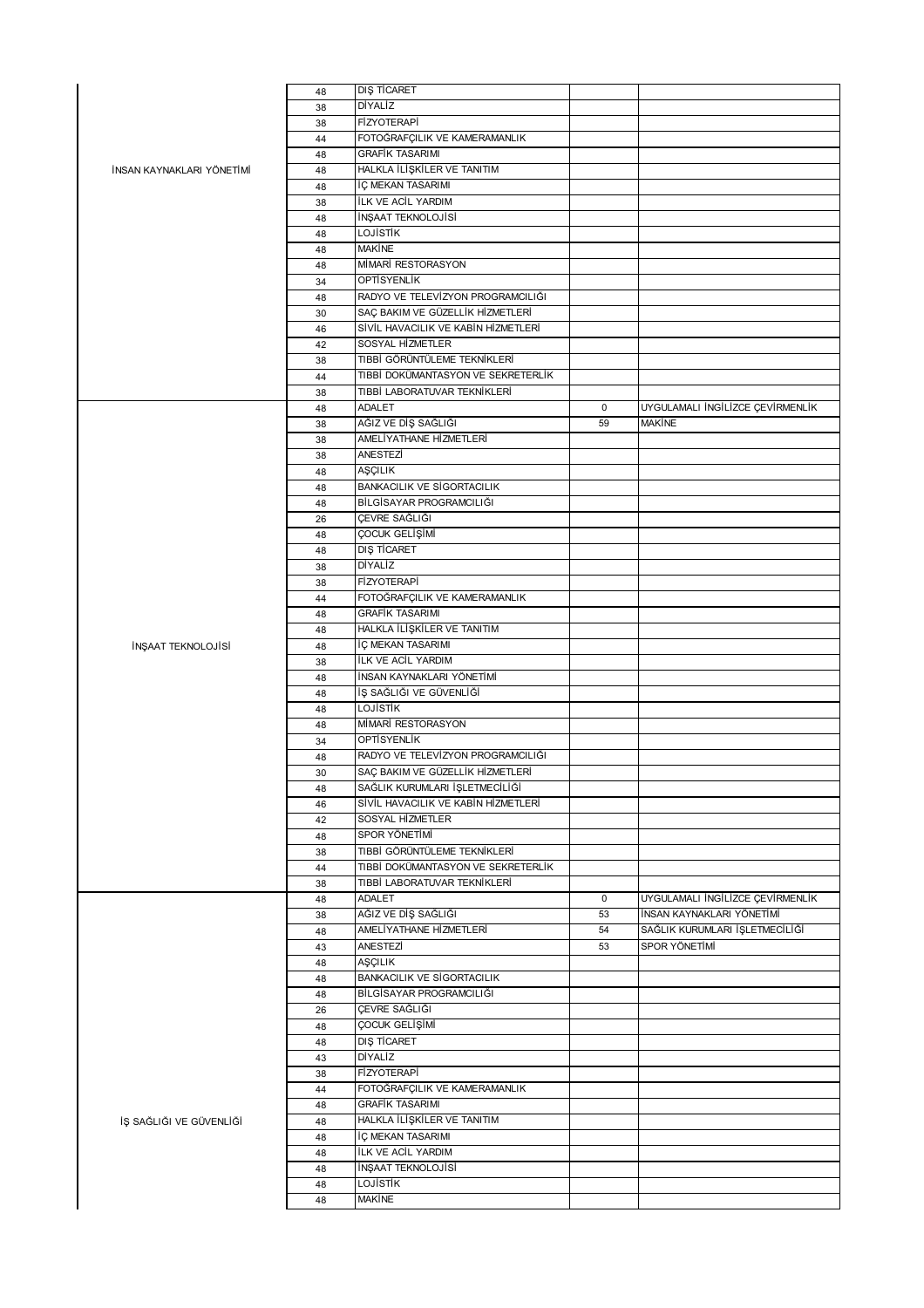|                           | 48 | DIS TICARET                         |             |                                  |
|---------------------------|----|-------------------------------------|-------------|----------------------------------|
|                           | 38 | DİYALİZ                             |             |                                  |
|                           | 38 | FİZYOTERAPİ                         |             |                                  |
|                           | 44 | FOTOĞRAFÇILIK VE KAMERAMANLIK       |             |                                  |
|                           | 48 | <b>GRAFİK TASARIMI</b>              |             |                                  |
| İNSAN KAYNAKLARI YÖNETİMİ | 48 | HALKLA İLİŞKİLER VE TANITIM         |             |                                  |
|                           | 48 | İÇ MEKAN TASARIMI                   |             |                                  |
|                           |    | ILK VE ACIL YARDIM                  |             |                                  |
|                           | 38 |                                     |             |                                  |
|                           | 48 | İNŞAAT TEKNOLOJİSİ                  |             |                                  |
|                           | 48 | LOJİSTİK                            |             |                                  |
|                           | 48 | <b>MAKINE</b>                       |             |                                  |
|                           | 48 | MİMARİ RESTORASYON                  |             |                                  |
|                           | 34 | <b>OPTISYENLIK</b>                  |             |                                  |
|                           | 48 | RADYO VE TELEVÍZYON PROGRAMCILIĞI   |             |                                  |
|                           | 30 | SAÇ BAKIM VE GÜZELLİK HİZMETLERİ    |             |                                  |
|                           | 46 | SİVİL HAVACILIK VE KABİN HİZMETLERİ |             |                                  |
|                           | 42 | SOSYAL HİZMETLER                    |             |                                  |
|                           | 38 | TIBBİ GÖRÜNTÜLEME TEKNİKLERİ        |             |                                  |
|                           | 44 | TIBBİ DOKÜMANTASYON VE SEKRETERLİK  |             |                                  |
|                           | 38 | TIBBİ LABORATUVAR TEKNİKLERİ        |             |                                  |
|                           | 48 | ADALET                              | $\mathbf 0$ | UYGULAMALI İNGİLİZCE ÇEVİRMENLİK |
|                           |    | AĞIZ VE DİŞ SAĞLIĞI                 | 59          | MAKINE                           |
|                           | 38 | AMELİYATHANE HİZMETLERİ             |             |                                  |
|                           | 38 |                                     |             |                                  |
|                           | 38 | ANESTEZİ                            |             |                                  |
|                           | 48 | AŞÇILIK                             |             |                                  |
|                           | 48 | <b>BANKACILIK VE SİGORTACILIK</b>   |             |                                  |
|                           | 48 | BİLGİSAYAR PROGRAMCILIĞI            |             |                                  |
|                           | 26 | ÇEVRE SAĞLIĞI                       |             |                                  |
|                           | 48 | ÇOCUK GELİŞİMİ                      |             |                                  |
|                           | 48 | DIS TİCARET                         |             |                                  |
|                           | 38 | DİYALİZ                             |             |                                  |
|                           | 38 | FİZYOTERAPİ                         |             |                                  |
|                           | 44 | FOTOĞRAFÇILIK VE KAMERAMANLIK       |             |                                  |
|                           | 48 | <b>GRAFİK TASARIMI</b>              |             |                                  |
|                           |    | HALKLA İLİŞKİLER VE TANITIM         |             |                                  |
|                           | 48 |                                     |             |                                  |
| İNŞAAT TEKNOLOJİSİ        | 48 | İÇ MEKAN TASARIMI                   |             |                                  |
|                           | 38 | İLK VE ACİL YARDIM                  |             |                                  |
|                           | 48 | İNSAN KAYNAKLARI YÖNETİMİ           |             |                                  |
|                           | 48 | İŞ SAĞLIĞI VE GÜVENLİĞİ             |             |                                  |
|                           | 48 | <b>LOJISTIK</b>                     |             |                                  |
|                           | 48 | MİMARİ RESTORASYON                  |             |                                  |
|                           | 34 | <b>OPTISYENLIK</b>                  |             |                                  |
|                           | 48 | RADYO VE TELEVÍZYON PROGRAMCILIĞI   |             |                                  |
|                           | 30 | SAÇ BAKIM VE GÜZELLİK HİZMETLERİ    |             |                                  |
|                           | 48 | SAĞLIK KURUMLARI İŞLETMECİLİĞİ      |             |                                  |
|                           | 46 | SİVİL HAVACILIK VE KABİN HİZMETLERİ |             |                                  |
|                           | 42 | SOSYAL HİZMETLER                    |             |                                  |
|                           | 48 | SPOR YÖNETİMİ                       |             |                                  |
|                           |    | TIBBİ GÖRÜNTÜLEME TEKNİKLERİ        |             |                                  |
|                           | 38 | TIBBİ DOKÜMANTASYON VE SEKRETERLİK  |             |                                  |
|                           | 44 |                                     |             |                                  |
|                           | 38 | TIBBİ LABORATUVAR TEKNİKLERİ        |             |                                  |
|                           | 48 | ADALET                              | $\pmb{0}$   | UYGULAMALI İNGİLİZCE ÇEVİRMENLİK |
|                           | 38 | AĞIZ VE DİŞ SAĞLIĞI                 | 53          | İNSAN KAYNAKLARI YÖNETİMİ        |
|                           | 48 | AMELİYATHANE HİZMETLERİ             | 54          | SAĞLIK KURUMLARI İŞLETMECİLİĞİ   |
|                           | 43 | ANESTEZİ                            | 53          | SPOR YÖNETİMİ                    |
|                           | 48 | AŞÇILIK                             |             |                                  |
|                           | 48 | <b>BANKACILIK VE SİGORTACILIK</b>   |             |                                  |
|                           | 48 | BİLGİSAYAR PROGRAMCILIĞI            |             |                                  |
|                           | 26 | ÇEVRE SAĞLIĞI                       |             |                                  |
|                           | 48 | ÇOCUK GELİŞİMİ                      |             |                                  |
|                           | 48 | <b>DIŞ TİCARET</b>                  |             |                                  |
|                           | 43 | DİYALİZ                             |             |                                  |
|                           |    | FİZYOTERAPİ                         |             |                                  |
|                           | 38 |                                     |             |                                  |
|                           | 44 | FOTOĞRAFÇILIK VE KAMERAMANLIK       |             |                                  |
|                           | 48 | <b>GRAFİK TASARIMI</b>              |             |                                  |
| İŞ SAĞLIĞI VE GÜVENLİĞİ   | 48 | HALKLA İLİŞKİLER VE TANITIM         |             |                                  |
|                           | 48 | İÇ MEKAN TASARIMI                   |             |                                  |
|                           | 48 | ILK VE ACIL YARDIM                  |             |                                  |
|                           | 48 | İNŞAAT TEKNOLOJİSİ                  |             |                                  |
|                           | 48 | <b>LOJISTIK</b>                     |             |                                  |
|                           | 48 | <b>MAKINE</b>                       |             |                                  |
|                           |    |                                     |             |                                  |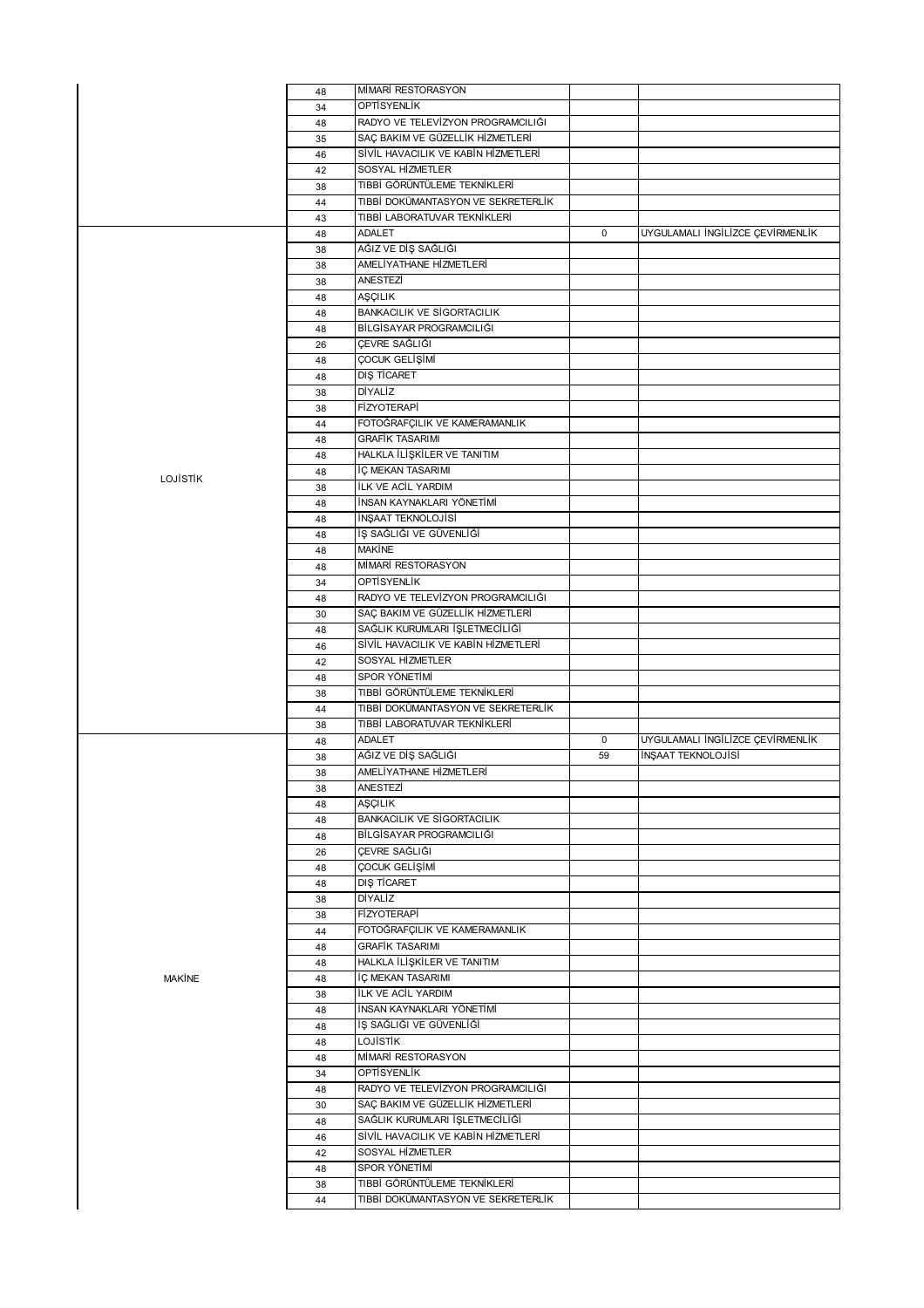|               | 48       | MİMARİ RESTORASYON                                                 |             |                                  |
|---------------|----------|--------------------------------------------------------------------|-------------|----------------------------------|
|               | 34       | <b>OPTISYENLIK</b>                                                 |             |                                  |
|               | 48       | RADYO VE TELEVÍZYON PROGRAMCILIĞI                                  |             |                                  |
|               | 35       | SAÇ BAKIM VE GÜZELLİK HİZMETLERİ                                   |             |                                  |
|               | 46       | SİVİL HAVACILIK VE KABİN HİZMETLERİ                                |             |                                  |
|               | 42       | SOSYAL HİZMETLER                                                   |             |                                  |
|               | 38       | TIBBİ GÖRÜNTÜLEME TEKNİKLERİ                                       |             |                                  |
|               | 44       | TIBBİ DOKÜMANTASYON VE SEKRETERLİK                                 |             |                                  |
|               | 43       | TIBBİ LABORATUVAR TEKNİKLERİ                                       |             |                                  |
|               | 48       | ADALET                                                             | $\mathbf 0$ | UYGULAMALI İNGİLİZCE ÇEVİRMENLİK |
|               |          | AĞIZ VE DİŞ SAĞLIĞI                                                |             |                                  |
|               | 38       |                                                                    |             |                                  |
|               | 38       | AMELİYATHANE HİZMETLERİ                                            |             |                                  |
|               | 38       | ANESTEZİ                                                           |             |                                  |
|               | 48       | AŞÇILIK                                                            |             |                                  |
|               | 48       | <b>BANKACILIK VE SİGORTACILIK</b>                                  |             |                                  |
|               | 48       | BİLGİSAYAR PROGRAMCILIĞI                                           |             |                                  |
|               | 26       | ÇEVRE SAĞLIĞI                                                      |             |                                  |
|               | 48       | ÇOCUK GELİŞİMİ                                                     |             |                                  |
|               | 48       | DIŞ TİCARET                                                        |             |                                  |
|               | 38       | DİYALİZ                                                            |             |                                  |
|               | 38       | <b>FİZYOTERAPİ</b>                                                 |             |                                  |
|               | 44       | FOTOĞRAFÇILIK VE KAMERAMANLIK                                      |             |                                  |
|               | 48       | <b>GRAFİK TASARIMI</b>                                             |             |                                  |
|               | 48       | HALKLA İLİŞKİLER VE TANITIM                                        |             |                                  |
|               | 48       | İÇ MEKAN TASARIMI                                                  |             |                                  |
| LOJISTIK      | 38       | İLK VE ACİL YARDIM                                                 |             |                                  |
|               | 48       | İNSAN KAYNAKLARI YÖNETİMİ                                          |             |                                  |
|               | 48       | İNŞAAT TEKNOLOJİSİ                                                 |             |                                  |
|               | 48       | İŞ SAĞLIĞI VE GÜVENLİĞİ                                            |             |                                  |
|               | 48       | <b>MAKINE</b>                                                      |             |                                  |
|               | 48       | MİMARİ RESTORASYON                                                 |             |                                  |
|               | 34       | OPTISYENLIK                                                        |             |                                  |
|               | 48       | RADYO VE TELEVÍZYON PROGRAMCILIĞI                                  |             |                                  |
|               | 30       | SAÇ BAKIM VE GÜZELLİK HİZMETLERİ                                   |             |                                  |
|               | 48       | SAĞLIK KURUMLARI İŞLETMECİLİĞİ                                     |             |                                  |
|               |          | SİVİL HAVACILIK VE KABİN HİZMETLERİ                                |             |                                  |
|               | 46       |                                                                    |             |                                  |
|               |          |                                                                    |             |                                  |
|               | 42       | SOSYAL HİZMETLER                                                   |             |                                  |
|               | 48       | SPOR YÖNETİMİ                                                      |             |                                  |
|               | 38       | TIBBİ GÖRÜNTÜLEME TEKNİKLERİ                                       |             |                                  |
|               | 44       | TIBBİ DOKÜMANTASYON VE SEKRETERLİK                                 |             |                                  |
|               | 38       | TIBBİ LABORATUVAR TEKNİKLERİ                                       |             |                                  |
|               | 48       | ADALET                                                             | $\mathbf 0$ | UYGULAMALI İNGİLİZCE ÇEVİRMENLİK |
|               | 38       | AĞIZ VE DİŞ SAĞLIĞI                                                | 59          | İNŞAAT TEKNOLOJİSİ               |
|               | 38       | AMELİYATHANE HİZMETLERİ                                            |             |                                  |
|               | 38       | ANESTEZİ                                                           |             |                                  |
|               | 48       | AŞÇILIK                                                            |             |                                  |
|               | 48       | <b>BANKACILIK VE SİGORTACILIK</b>                                  |             |                                  |
|               | 48       | BİLGİSAYAR PROGRAMCILIĞI                                           |             |                                  |
|               | 26       | ÇEVRE SAĞLIĞI                                                      |             |                                  |
|               | 48       | ÇOCUK GELİŞİMİ                                                     |             |                                  |
|               | 48       | DIS TİCARET                                                        |             |                                  |
|               | 38       | DİYALİZ                                                            |             |                                  |
|               | 38       | <b>FİZYOTERAPİ</b>                                                 |             |                                  |
|               | 44       | FOTOĞRAFÇILIK VE KAMERAMANLIK                                      |             |                                  |
|               | 48       | <b>GRAFİK TASARIMI</b>                                             |             |                                  |
|               | 48       | HALKLA İLİŞKİLER VE TANITIM                                        |             |                                  |
| <b>MAKINE</b> | 48       | İÇ MEKAN TASARIMI                                                  |             |                                  |
|               | 38       | <b>İLK VE ACİL YARDIM</b>                                          |             |                                  |
|               | 48       | İNSAN KAYNAKLARI YÖNETİMİ                                          |             |                                  |
|               | 48       | İŞ SAĞLIĞI VE GÜVENLİĞİ                                            |             |                                  |
|               | 48       | LOJİSTİK                                                           |             |                                  |
|               | 48       | MİMARİ RESTORASYON                                                 |             |                                  |
|               |          | OPTİSYENLİK                                                        |             |                                  |
|               | 34       |                                                                    |             |                                  |
|               | 48       | RADYO VE TELEVÍZYON PROGRAMCILIĞI                                  |             |                                  |
|               | 30       | SAÇ BAKIM VE GÜZELLİK HİZMETLERİ                                   |             |                                  |
|               | 48       | SAĞLIK KURUMLARI İŞLETMECİLİĞİ                                     |             |                                  |
|               | 46       | SİVİL HAVACILIK VE KABİN HİZMETLERİ                                |             |                                  |
|               | 42       | SOSYAL HİZMETLER                                                   |             |                                  |
|               | 48       | SPOR YÖNETİMİ                                                      |             |                                  |
|               | 38<br>44 | TIBBİ GÖRÜNTÜLEME TEKNİKLERİ<br>TIBBİ DOKÜMANTASYON VE SEKRETERLİK |             |                                  |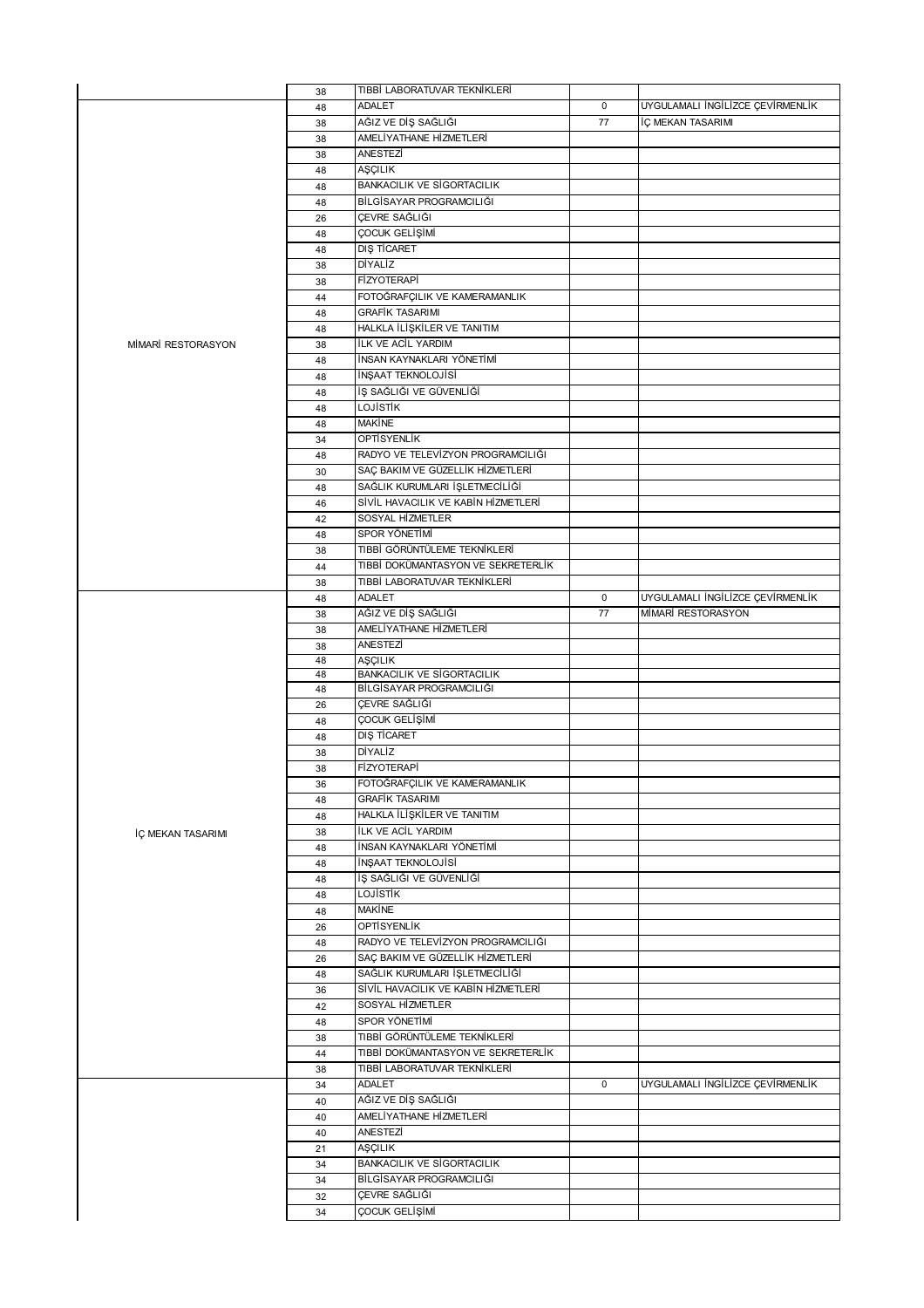|                    | 38 | TIBBİ LABORATUVAR TEKNİKLERİ        |             |                                  |
|--------------------|----|-------------------------------------|-------------|----------------------------------|
|                    | 48 | <b>ADALET</b>                       | $\mathbf 0$ | UYGULAMALI İNGİLİZCE ÇEVİRMENLİK |
|                    | 38 | AĞIZ VE DİŞ SAĞLIĞI                 | 77          | İÇ MEKAN TASARIMI                |
|                    | 38 | AMELİYATHANE HİZMETLERİ             |             |                                  |
|                    | 38 | ANESTEZİ                            |             |                                  |
|                    |    | AŞÇILIK                             |             |                                  |
|                    | 48 |                                     |             |                                  |
|                    | 48 | <b>BANKACILIK VE SİGORTACILIK</b>   |             |                                  |
|                    | 48 | BİLGİSAYAR PROGRAMCILIĞI            |             |                                  |
|                    | 26 | ÇEVRE SAĞLIĞI                       |             |                                  |
|                    | 48 | ÇOCUK GELİŞİMİ                      |             |                                  |
|                    | 48 | DIŞ TİCARET                         |             |                                  |
| MİMARİ RESTORASYON | 38 | DİYALİZ                             |             |                                  |
|                    | 38 | <b>FİZYOTERAPİ</b>                  |             |                                  |
|                    | 44 | FOTOĞRAFÇILIK VE KAMERAMANLIK       |             |                                  |
|                    | 48 | <b>GRAFİK TASARIMI</b>              |             |                                  |
|                    |    | HALKLA İLİŞKİLER VE TANITIM         |             |                                  |
|                    | 48 |                                     |             |                                  |
|                    | 38 | ILK VE ACIL YARDIM                  |             |                                  |
|                    | 48 | İNSAN KAYNAKLARI YÖNETİMİ           |             |                                  |
|                    | 48 | İNŞAAT TEKNOLOJİSİ                  |             |                                  |
|                    | 48 | İŞ SAĞLIĞI VE GÜVENLİĞİ             |             |                                  |
|                    | 48 | LOJİSTİK                            |             |                                  |
|                    | 48 | <b>MAKİNE</b>                       |             |                                  |
|                    | 34 | <b>OPTISYENLIK</b>                  |             |                                  |
|                    | 48 | RADYO VE TELEVÍZYON PROGRAMCILIĞI   |             |                                  |
|                    | 30 | SAC BAKIM VE GÜZELLİK HİZMETLERİ    |             |                                  |
|                    | 48 | SAĞLIK KURUMLARI İŞLETMECİLİĞİ      |             |                                  |
|                    |    | SİVİL HAVACILIK VE KABİN HİZMETLERİ |             |                                  |
|                    | 46 | SOSYAL HİZMETLER                    |             |                                  |
|                    | 42 |                                     |             |                                  |
|                    | 48 | SPOR YÖNETİMİ                       |             |                                  |
|                    | 38 | TIBBİ GÖRÜNTÜLEME TEKNİKLERİ        |             |                                  |
|                    | 44 | TIBBİ DOKÜMANTASYON VE SEKRETERLİK  |             |                                  |
|                    | 38 | TIBBİ LABORATUVAR TEKNİKLERİ        |             |                                  |
|                    | 48 | <b>ADALET</b>                       | 0           | UYGULAMALI İNGİLİZCE ÇEVİRMENLİK |
|                    | 38 | AĞIZ VE DİŞ SAĞLIĞI                 | 77          | MİMARİ RESTORASYON               |
|                    | 38 | AMELİYATHANE HİZMETLERİ             |             |                                  |
|                    | 38 | ANESTEZİ                            |             |                                  |
|                    | 48 | AŞÇILIK                             |             |                                  |
|                    | 48 | <b>BANKACILIK VE SİGORTACILIK</b>   |             |                                  |
|                    | 48 | BİLGİSAYAR PROGRAMCILIĞI            |             |                                  |
|                    | 26 | ÇEVRE SAĞLIĞI                       |             |                                  |
|                    | 48 | ÇOCUK GELİŞİMİ                      |             |                                  |
|                    | 48 | DIŞ TİCARET                         |             |                                  |
|                    | 38 | DİYALİZ                             |             |                                  |
|                    | 38 | <b>FİZYOTERAPİ</b>                  |             |                                  |
|                    | 36 | FOTOGRAFÇILIK VE KAMERAMANLIK       |             |                                  |
|                    | 48 | <b>GRAFİK TASARIMI</b>              |             |                                  |
|                    |    | HALKLA İLİŞKİLER VE TANITIM         |             |                                  |
|                    | 48 |                                     |             |                                  |
| İÇ MEKAN TASARIMI  | 38 | <b>ILK VE ACIL YARDIM</b>           |             |                                  |
|                    | 48 | İNSAN KAYNAKLARI YÖNETİMİ           |             |                                  |
|                    | 48 | İNŞAAT TEKNOLOJİSİ                  |             |                                  |
|                    | 48 | İŞ SAĞLIĞI VE GÜVENLİĞİ             |             |                                  |
|                    | 48 | <b>LOJISTIK</b>                     |             |                                  |
|                    | 48 | <b>MAKINE</b>                       |             |                                  |
|                    | 26 | <b>OPTISYENLIK</b>                  |             |                                  |
|                    | 48 | RADYO VE TELEVÍZYON PROGRAMCILIĞI   |             |                                  |
|                    |    |                                     |             |                                  |
|                    |    |                                     |             |                                  |
|                    | 26 | SAÇ BAKIM VE GÜZELLİK HİZMETLERİ    |             |                                  |
|                    | 48 | SAĞLIK KURUMLARI İŞLETMECİLİĞİ      |             |                                  |
|                    | 36 | SİVİL HAVACILIK VE KABİN HİZMETLERİ |             |                                  |
|                    | 42 | SOSYAL HİZMETLER                    |             |                                  |
|                    | 48 | SPOR YÖNETİMİ                       |             |                                  |
|                    | 38 | TIBBİ GÖRÜNTÜLEME TEKNİKLERİ        |             |                                  |
|                    | 44 | TIBBİ DOKÜMANTASYON VE SEKRETERLİK  |             |                                  |
|                    | 38 | TIBBİ LABORATUVAR TEKNİKLERİ        |             |                                  |
|                    | 34 | <b>ADALET</b>                       | $\mathbf 0$ | UYGULAMALI İNGİLİZCE ÇEVİRMENLİK |
|                    | 40 | AĞIZ VE DİŞ SAĞLIĞI                 |             |                                  |
|                    | 40 | AMELİYATHANE HİZMETLERİ             |             |                                  |
|                    |    | ANESTEZİ                            |             |                                  |
|                    | 40 |                                     |             |                                  |
|                    | 21 | AŞÇILIK                             |             |                                  |
|                    | 34 | <b>BANKACILIK VE SİGORTACILIK</b>   |             |                                  |
|                    | 34 | BİLGİSAYAR PROGRAMCILIĞI            |             |                                  |
|                    | 32 | ÇEVRE SAĞLIĞI                       |             |                                  |
|                    | 34 | ÇOCUK GELİŞİMİ                      |             |                                  |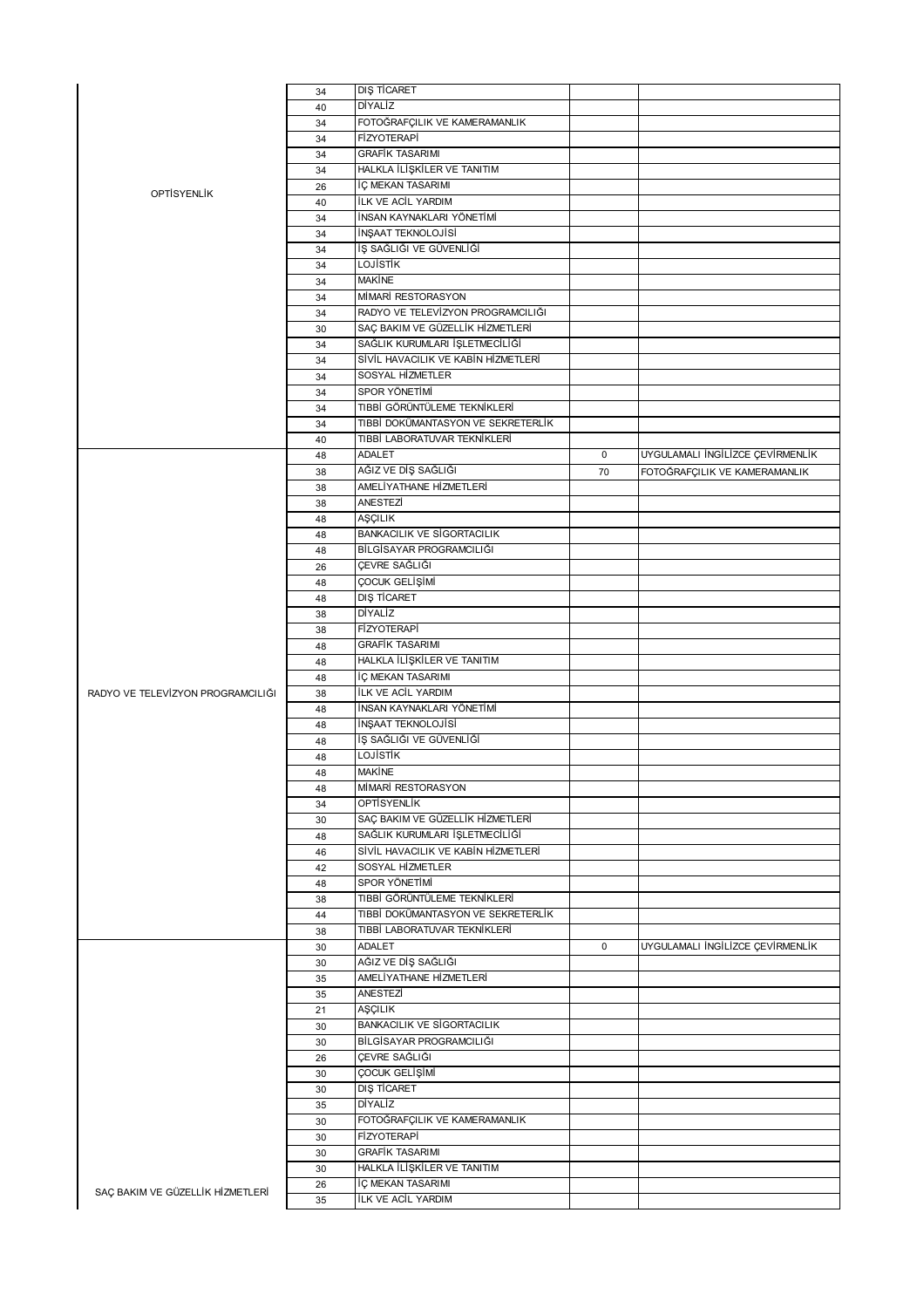|                                   | 34 | DIŞ TİCARET                         |    |                                  |
|-----------------------------------|----|-------------------------------------|----|----------------------------------|
|                                   | 40 | <b>DİYALİZ</b>                      |    |                                  |
|                                   | 34 | FOTOĞRAFÇILIK VE KAMERAMANLIK       |    |                                  |
|                                   |    | <b>FİZYOTERAPİ</b>                  |    |                                  |
|                                   | 34 |                                     |    |                                  |
|                                   | 34 | <b>GRAFIK TASARIMI</b>              |    |                                  |
|                                   | 34 | HALKLA İLİŞKİLER VE TANITIM         |    |                                  |
| <b>OPTISYENLIK</b>                | 26 | İÇ MEKAN TASARIMI                   |    |                                  |
|                                   | 40 | <b>İLK VE ACİL YARDIM</b>           |    |                                  |
|                                   | 34 | İNSAN KAYNAKLARI YÖNETİMİ           |    |                                  |
|                                   | 34 | İNŞAAT TEKNOLOJİSİ                  |    |                                  |
|                                   | 34 | İŞ SAĞLIĞI VE GÜVENLİĞİ             |    |                                  |
|                                   | 34 | <b>LOJISTIK</b>                     |    |                                  |
|                                   |    | <b>MAKINE</b>                       |    |                                  |
|                                   | 34 | MİMARİ RESTORASYON                  |    |                                  |
|                                   | 34 |                                     |    |                                  |
|                                   | 34 | RADYO VE TELEVÍZYON PROGRAMCILIĞI   |    |                                  |
|                                   | 30 | SAÇ BAKIM VE GÜZELLİK HİZMETLERİ    |    |                                  |
|                                   | 34 | SAĞLIK KURUMLARI İŞLETMECİLİĞİ      |    |                                  |
|                                   | 34 | SİVİL HAVACILIK VE KABİN HİZMETLERİ |    |                                  |
|                                   | 34 | SOSYAL HİZMETLER                    |    |                                  |
|                                   | 34 | SPOR YÖNETİMİ                       |    |                                  |
|                                   | 34 | TIBBİ GÖRÜNTÜLEME TEKNİKLERİ        |    |                                  |
|                                   | 34 | TIBBİ DOKÜMANTASYON VE SEKRETERLİK  |    |                                  |
|                                   |    | TIBBİ LABORATUVAR TEKNİKLERİ        |    |                                  |
|                                   | 40 |                                     |    |                                  |
|                                   | 48 | ADALET                              | 0  | UYGULAMALI İNGİLİZCE ÇEVİRMENLİK |
|                                   | 38 | AĞIZ VE DİŞ SAĞLIĞI                 | 70 | FOTOĞRAFÇILIK VE KAMERAMANLIK    |
|                                   | 38 | AMELİYATHANE HİZMETLERİ             |    |                                  |
|                                   | 38 | ANESTEZİ                            |    |                                  |
|                                   | 48 | AŞÇILIK                             |    |                                  |
|                                   | 48 | <b>BANKACILIK VE SİGORTACILIK</b>   |    |                                  |
|                                   | 48 | BİLGİSAYAR PROGRAMCILIĞI            |    |                                  |
|                                   | 26 | ÇEVRE SAĞLIĞI                       |    |                                  |
|                                   | 48 | ÇOCUK GELİŞİMİ                      |    |                                  |
|                                   | 48 | DIŞ TİCARET                         |    |                                  |
|                                   | 38 | DİYALİZ                             |    |                                  |
|                                   | 38 | <b>FİZYOTERAPİ</b>                  |    |                                  |
|                                   |    | <b>GRAFİK TASARIMI</b>              |    |                                  |
|                                   | 48 |                                     |    |                                  |
|                                   | 48 | HALKLA İLİŞKİLER VE TANITIM         |    |                                  |
|                                   | 48 | İÇ MEKAN TASARIMI                   |    |                                  |
| RADYO VE TELEVÍZYON PROGRAMCILIĞI | 38 | <b>İLK VE ACİL YARDIM</b>           |    |                                  |
|                                   | 48 | İNSAN KAYNAKLARI YÖNETİMİ           |    |                                  |
|                                   | 48 | İNŞAAT TEKNOLOJİSİ                  |    |                                  |
|                                   | 48 | İŞ SAĞLIĞI VE GÜVENLİĞİ             |    |                                  |
|                                   | 48 | <b>LOJISTIK</b>                     |    |                                  |
|                                   | 48 | <b>MAKİNE</b>                       |    |                                  |
|                                   | 48 | MİMARİ RESTORASYON                  |    |                                  |
|                                   | 34 | OPTİSYENLİK                         |    |                                  |
|                                   | 30 | SAÇ BAKIM VE GÜZELLİK HİZMETLERİ    |    |                                  |
|                                   | 48 | SAĞLIK KURUMLARI İŞLETMECİLİĞİ      |    |                                  |
|                                   |    | SİVİL HAVACILIK VE KABİN HİZMETLERİ |    |                                  |
|                                   | 46 |                                     |    |                                  |
|                                   | 42 | SOSYAL HİZMETLER                    |    |                                  |
|                                   | 48 | SPOR YÖNETİMİ                       |    |                                  |
|                                   | 38 | TIBBİ GÖRÜNTÜLEME TEKNİKLERİ        |    |                                  |
|                                   | 44 | TIBBİ DOKÜMANTASYON VE SEKRETERLİK  |    |                                  |
|                                   | 38 | TIBBİ LABORATUVAR TEKNİKLERİ        |    |                                  |
|                                   | 30 | ADALET                              | 0  | UYGULAMALI İNGİLİZCE ÇEVİRMENLİK |
|                                   | 30 | AĞIZ VE DİŞ SAĞLIĞI                 |    |                                  |
|                                   | 35 | AMELİYATHANE HİZMETLERİ             |    |                                  |
|                                   | 35 | ANESTEZİ                            |    |                                  |
|                                   | 21 | AŞÇILIK                             |    |                                  |
|                                   | 30 | <b>BANKACILIK VE SİGORTACILIK</b>   |    |                                  |
|                                   | 30 | BİLGİSAYAR PROGRAMCILIĞI            |    |                                  |
|                                   | 26 | ÇEVRE SAĞLIĞI                       |    |                                  |
|                                   | 30 | ÇOCUK GELİŞİMİ                      |    |                                  |
|                                   |    | DIŞ TİCARET                         |    |                                  |
|                                   | 30 |                                     |    |                                  |
|                                   | 35 | DİYALİZ                             |    |                                  |
|                                   | 30 | FOTOĞRAFÇILIK VE KAMERAMANLIK       |    |                                  |
|                                   | 30 | FİZYOTERAPİ                         |    |                                  |
|                                   | 30 | <b>GRAFİK TASARIMI</b>              |    |                                  |
|                                   | 30 | HALKLA İLİŞKİLER VE TANITIM         |    |                                  |
| SAÇ BAKIM VE GÜZELLİK HİZMETLERİ  | 26 | İÇ MEKAN TASARIMI                   |    |                                  |
|                                   | 35 | ILK VE ACIL YARDIM                  |    |                                  |
|                                   |    |                                     |    |                                  |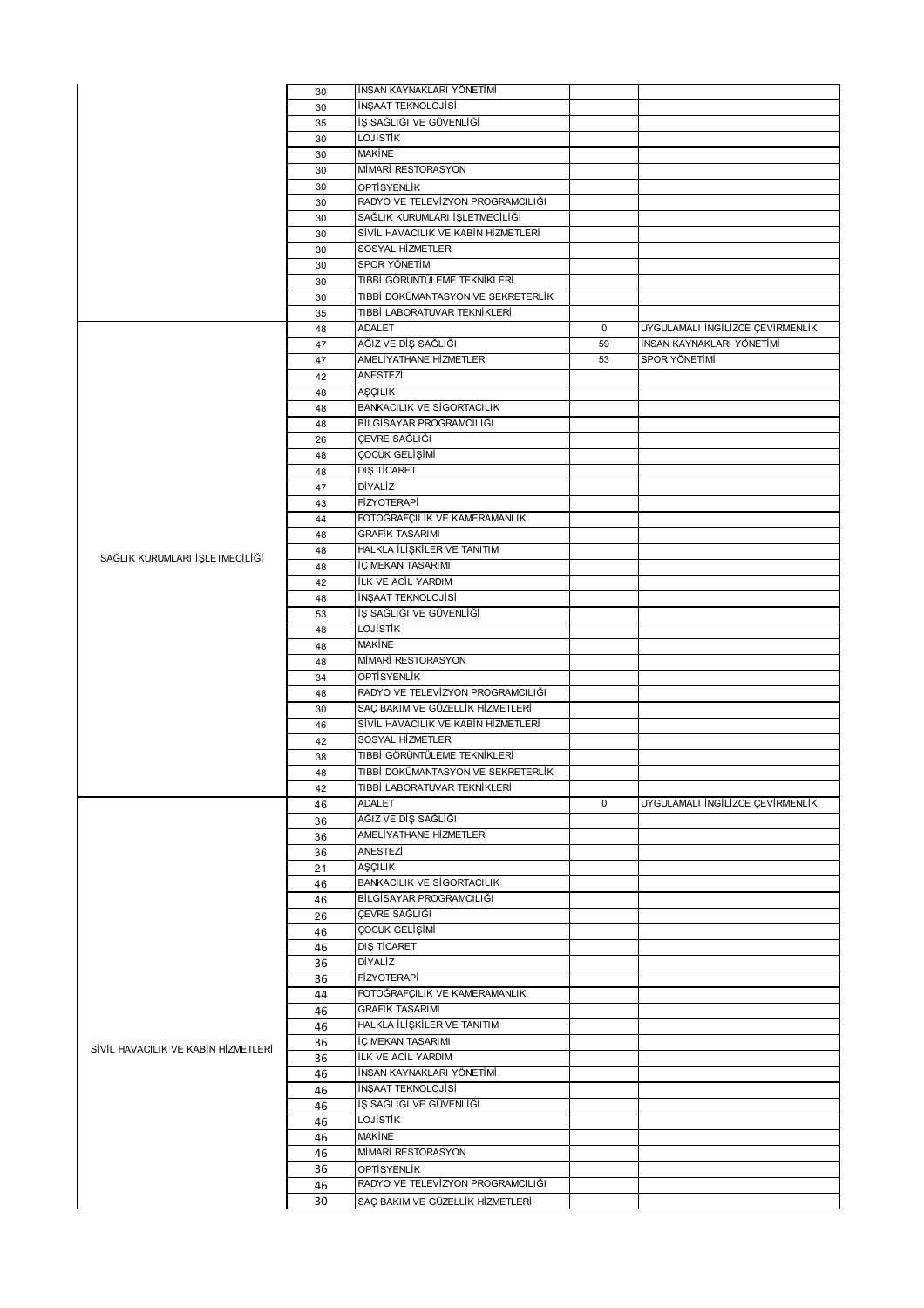|                                     | 30       | İNSAN KAYNAKLARI YÖNETİMİ                        |             |                                  |
|-------------------------------------|----------|--------------------------------------------------|-------------|----------------------------------|
|                                     | 30       | İNŞAAT TEKNOLOJİSİ                               |             |                                  |
|                                     | 35       | İŞ SAĞLIĞI VE GÜVENLİĞİ                          |             |                                  |
|                                     | 30       | <b>LOJISTIK</b>                                  |             |                                  |
|                                     | 30       | <b>MAKINE</b>                                    |             |                                  |
|                                     | 30       | MİMARİ RESTORASYON                               |             |                                  |
|                                     | 30       | OPTISYENLIK                                      |             |                                  |
|                                     | 30       | RADYO VE TELEVÍZYON PROGRAMCILIĞI                |             |                                  |
|                                     | 30       | SAĞLIK KURUMLARI İŞLETMECİLİĞİ                   |             |                                  |
|                                     | 30       | SİVİL HAVACILIK VE KABİN HİZMETLERİ              |             |                                  |
|                                     | 30       | SOSYAL HİZMETLER                                 |             |                                  |
|                                     | 30       | SPOR YÖNETİMİ<br>TIBBİ GÖRÜNTÜLEME TEKNİKLERİ    |             |                                  |
|                                     | 30       | TIBBİ DOKÜMANTASYON VE SEKRETERLİK               |             |                                  |
|                                     | 30       | TIBBİ LABORATUVAR TEKNİKLERİ                     |             |                                  |
|                                     | 35<br>48 | <b>ADALET</b>                                    | $\mathbf 0$ | UYGULAMALI İNGİLİZCE ÇEVİRMENLİK |
|                                     | 47       | AĞIZ VE DİŞ SAĞLIĞI                              | 59          | İNSAN KAYNAKLARI YÖNETİMİ        |
|                                     | 47       | AMELİYATHANE HİZMETLERİ                          | 53          | SPOR YÖNETİMİ                    |
|                                     | 42       | ANESTEZİ                                         |             |                                  |
|                                     | 48       | AŞÇILIK                                          |             |                                  |
|                                     | 48       | <b>BANKACILIK VE SİGORTACILIK</b>                |             |                                  |
|                                     | 48       | BİLGİSAYAR PROGRAMCILIĞI                         |             |                                  |
|                                     | 26       | ÇEVRE SAĞLIĞI                                    |             |                                  |
|                                     | 48       | ÇOCUK GELİŞİMİ                                   |             |                                  |
|                                     | 48       | <b>DIŞ TİCARET</b>                               |             |                                  |
|                                     | 47       | DİYALİZ                                          |             |                                  |
|                                     | 43       | <b>FİZYOTERAPİ</b>                               |             |                                  |
|                                     | 44       | FOTOĞRAFÇILIK VE KAMERAMANLIK                    |             |                                  |
|                                     | 48       | <b>GRAFİK TASARIMI</b>                           |             |                                  |
|                                     | 48       | HALKLA İLİŞKİLER VE TANITIM                      |             |                                  |
| SAĞLIK KURUMLARI İŞLETMECİLİĞİ      | 48       | İÇ MEKAN TASARIMI                                |             |                                  |
|                                     | 42       | <b>İLK VE ACİL YARDIM</b>                        |             |                                  |
|                                     | 48       | İNŞAAT TEKNOLOJİSİ                               |             |                                  |
|                                     | 53       | İŞ SAĞLIĞI VE GÜVENLİĞİ                          |             |                                  |
|                                     | 48       | LOJİSTİK                                         |             |                                  |
|                                     | 48       | <b>MAKİNE</b>                                    |             |                                  |
|                                     |          |                                                  |             |                                  |
|                                     | 48       | MİMARİ RESTORASYON                               |             |                                  |
|                                     | 34       | <b>OPTISYENLIK</b>                               |             |                                  |
|                                     | 48       | RADYO VE TELEVİZYON PROGRAMCILIĞI                |             |                                  |
|                                     | 30       | SAÇ BAKIM VE GÜZELLİK HİZMETLERİ                 |             |                                  |
|                                     | 46       | SİVİL HAVACILIK VE KABİN HİZMETLERİ              |             |                                  |
|                                     | 42       | SOSYAL HİZMETLER                                 |             |                                  |
|                                     | 38       | TIBBİ GÖRÜNTÜLEME TEKNİKLERİ                     |             |                                  |
|                                     | 48       | TIBBİ DOKÜMANTASYON VE SEKRETERLİK               |             |                                  |
|                                     | 42       | TIBBİ LABORATUVAR TEKNİKLERİ                     |             |                                  |
|                                     | 46       | <b>ADALET</b>                                    | $\mathbf 0$ | UYGULAMALI İNGİLİZCE ÇEVİRMENLİK |
|                                     | 36       | AĞIZ VE DİŞ SAĞLIĞI                              |             |                                  |
|                                     | 36       | AMELİYATHANE HİZMETLERİ                          |             |                                  |
|                                     | 36       | ANESTEZİ                                         |             |                                  |
|                                     | 21       | AŞÇILIK                                          |             |                                  |
|                                     | 46       | <b>BANKACILIK VE SİGORTACILIK</b>                |             |                                  |
|                                     | 46       | BİLGİSAYAR PROGRAMCILIĞI                         |             |                                  |
|                                     | 26       | ÇEVRE SAĞLIĞI                                    |             |                                  |
|                                     | 46       | ÇOCUK GELİŞİMİ                                   |             |                                  |
|                                     | 46       | DIŞ TİCARET                                      |             |                                  |
|                                     | 36       | <b>DİYALİZ</b>                                   |             |                                  |
|                                     | 36       | <b>FİZYOTERAPİ</b>                               |             |                                  |
|                                     | 44       | FOTOĞRAFÇILIK VE KAMERAMANLIK                    |             |                                  |
|                                     | 46       | <b>GRAFİK TASARIMI</b>                           |             |                                  |
|                                     | 46       | HALKLA İLİŞKİLER VE TANITIM<br>İÇ MEKAN TASARIMI |             |                                  |
| SİVİL HAVACILIK VE KABİN HİZMETLERİ | 36<br>36 | ILK VE ACIL YARDIM                               |             |                                  |
|                                     | 46       | İNSAN KAYNAKLARI YÖNETİMİ                        |             |                                  |
|                                     | 46       | İNŞAAT TEKNOLOJİSİ                               |             |                                  |
|                                     | 46       | İŞ SAĞLIĞI VE GÜVENLİĞİ                          |             |                                  |
|                                     | 46       | LOJİSTİK                                         |             |                                  |
|                                     | 46       | <b>MAKİNE</b>                                    |             |                                  |
|                                     | 46       | MİMARİ RESTORASYON                               |             |                                  |
|                                     | 36       | OPTISYENLIK                                      |             |                                  |
|                                     | 46<br>30 | RADYO VE TELEVÍZYON PROGRAMCILIĞI                |             |                                  |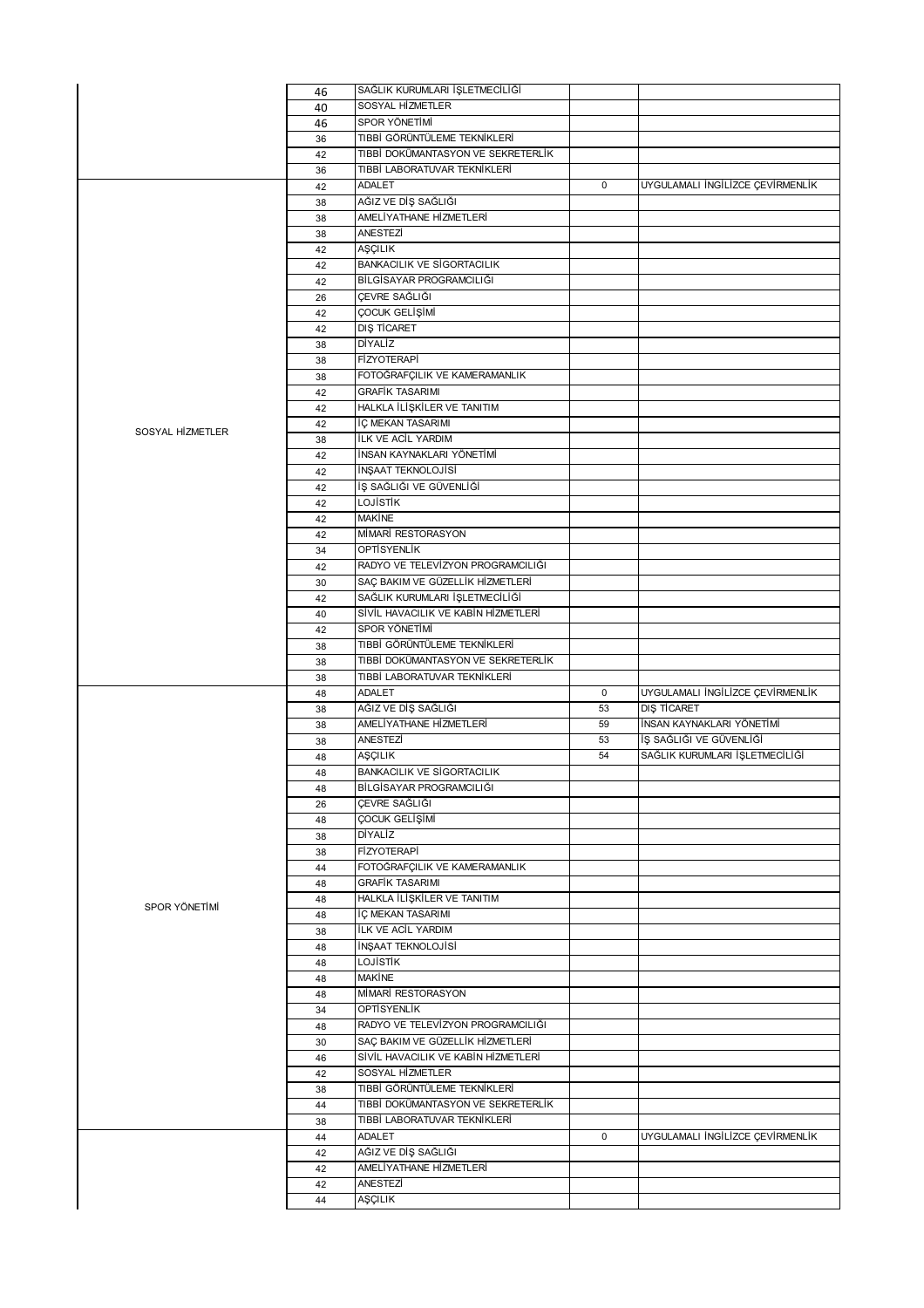|                  | 46       | SAĞLIK KURUMLARI İŞLETMECİLİĞİ                                     |             |                                  |
|------------------|----------|--------------------------------------------------------------------|-------------|----------------------------------|
|                  | 40       | SOSYAL HİZMETLER                                                   |             |                                  |
|                  | 46       | SPOR YÖNETİMİ                                                      |             |                                  |
|                  | 36       | TIBBİ GÖRÜNTÜLEME TEKNİKLERİ                                       |             |                                  |
|                  | 42       | TIBBİ DOKÜMANTASYON VE SEKRETERLİK                                 |             |                                  |
|                  | 36       | TIBBİ LABORATUVAR TEKNİKLERİ                                       |             |                                  |
|                  | 42       | <b>ADALET</b><br>AĞIZ VE DİŞ SAĞLIĞI                               | $\mathbf 0$ | UYGULAMALI İNGİLİZCE ÇEVİRMENLİK |
|                  | 38<br>38 | AMELİYATHANE HİZMETLERİ                                            |             |                                  |
|                  | 38       | ANESTEZİ                                                           |             |                                  |
|                  | 42       | AŞÇILIK                                                            |             |                                  |
|                  | 42       | <b>BANKACILIK VE SİGORTACILIK</b>                                  |             |                                  |
|                  | 42       | BİLGİSAYAR PROGRAMCILIĞI                                           |             |                                  |
|                  | 26       | ÇEVRE SAĞLIĞI                                                      |             |                                  |
|                  | 42       | ÇOCUK GELİŞİMİ                                                     |             |                                  |
|                  | 42       | DIS TİCARET                                                        |             |                                  |
|                  | 38       | DİYALİZ                                                            |             |                                  |
|                  | 38       | <b>FİZYOTERAPİ</b>                                                 |             |                                  |
|                  | 38       | FOTOĞRAFÇILIK VE KAMERAMANLIK<br><b>GRAFİK TASARIMI</b>            |             |                                  |
|                  | 42<br>42 | HALKLA İLİŞKİLER VE TANITIM                                        |             |                                  |
|                  | 42       | İÇ MEKAN TASARIMI                                                  |             |                                  |
| SOSYAL HIZMETLER | 38       | İLK VE ACİL YARDIM                                                 |             |                                  |
|                  | 42       | İNSAN KAYNAKLARI YÖNETİMİ                                          |             |                                  |
|                  | 42       | İNŞAAT TEKNOLOJİSİ                                                 |             |                                  |
|                  | 42       | İŞ SAĞLIĞI VE GÜVENLİĞİ                                            |             |                                  |
|                  | 42       | LOJİSTİK                                                           |             |                                  |
|                  | 42       | <b>MAKİNE</b>                                                      |             |                                  |
|                  | 42       | MİMARİ RESTORASYON                                                 |             |                                  |
|                  | 34       | <b>OPTİSYENLİK</b>                                                 |             |                                  |
|                  | 42       | RADYO VE TELEVİZYON PROGRAMCILIĞI                                  |             |                                  |
|                  | 30       | SAÇ BAKIM VE GÜZELLİK HİZMETLERİ<br>SAĞLIK KURUMLARI İŞLETMECİLİĞİ |             |                                  |
|                  | 42<br>40 | SİVİL HAVACILIK VE KABİN HİZMETLERİ                                |             |                                  |
|                  | 42       | SPOR YÖNETİMİ                                                      |             |                                  |
|                  | 38       | TIBBİ GÖRÜNTÜLEME TEKNİKLERİ                                       |             |                                  |
|                  |          |                                                                    |             |                                  |
|                  | 38       | TIBBİ DOKÜMANTASYON VE SEKRETERLİK                                 |             |                                  |
|                  | 38       | TIBBİ LABORATUVAR TEKNİKLERİ                                       |             |                                  |
|                  | 48       | ADALET                                                             | $\mathbf 0$ | UYGULAMALI İNGİLİZCE ÇEVİRMENLİK |
|                  | 38       | AĞIZ VE DİŞ SAĞLIĞI                                                | 53          | DIS TİCARET                      |
|                  | 38       | AMELİYATHANE HİZMETLERİ                                            | 59          | İNSAN KAYNAKLARI YÖNETİMİ        |
|                  | 38       | ANESTEZİ                                                           | 53          | İŞ SAĞLIĞI VE GÜVENLİĞİ          |
|                  | 48       | AŞÇILIK                                                            | 54          | SAĞLIK KURUMLARI İŞLETMECİLİĞİ   |
|                  | 48       | <b>BANKACILIK VE SİGORTACILIK</b>                                  |             |                                  |
|                  | 48       | BİLGİSAYAR PROGRAMCILIĞI                                           |             |                                  |
|                  | 26       | CEVRE SAĞLIĞI                                                      |             |                                  |
|                  | 48       | ÇOCUK GELİŞİMİ<br>DİYALİZ                                          |             |                                  |
|                  | 38<br>38 | FİZYOTERAPİ                                                        |             |                                  |
|                  | 44       | FOTOĞRAFÇILIK VE KAMERAMANLIK                                      |             |                                  |
|                  | 48       | <b>GRAFİK TASARIMI</b>                                             |             |                                  |
|                  | 48       | HALKLA İLİŞKİLER VE TANITIM                                        |             |                                  |
| SPOR YÖNETİMİ    | 48       | İÇ MEKAN TASARIMI                                                  |             |                                  |
|                  | 38       | İLK VE ACİL YARDIM                                                 |             |                                  |
|                  | 48       | İNŞAAT TEKNOLOJİSİ                                                 |             |                                  |
|                  | 48       | LOJİSTİK                                                           |             |                                  |
|                  | 48       | MAKINE                                                             |             |                                  |
|                  | 48       | MİMARİ RESTORASYON<br>OPTİSYENLİK                                  |             |                                  |
|                  | 34<br>48 | RADYO VE TELEVÍZYON PROGRAMCILIĞI                                  |             |                                  |
|                  | 30       | SAÇ BAKIM VE GÜZELLİK HİZMETLERİ                                   |             |                                  |
|                  | 46       | SİVİL HAVACILIK VE KABİN HİZMETLERİ                                |             |                                  |
|                  | 42       | SOSYAL HİZMETLER                                                   |             |                                  |
|                  | 38       | TIBBİ GÖRÜNTÜLEME TEKNİKLERİ                                       |             |                                  |
|                  | 44       | TIBBİ DOKÜMANTASYON VE SEKRETERLİK                                 |             |                                  |
|                  | 38       | TIBBİ LABORATUVAR TEKNİKLERİ                                       |             |                                  |
|                  | 44       | <b>ADALET</b>                                                      | $\mathbf 0$ | UYGULAMALI İNGİLİZCE ÇEVİRMENLİK |
|                  | 42       | AĞIZ VE DİŞ SAĞLIĞI                                                |             |                                  |
|                  | 42       | AMELİYATHANE HİZMETLERİ<br>ANESTEZİ                                |             |                                  |
|                  | 42<br>44 | AŞÇILIK                                                            |             |                                  |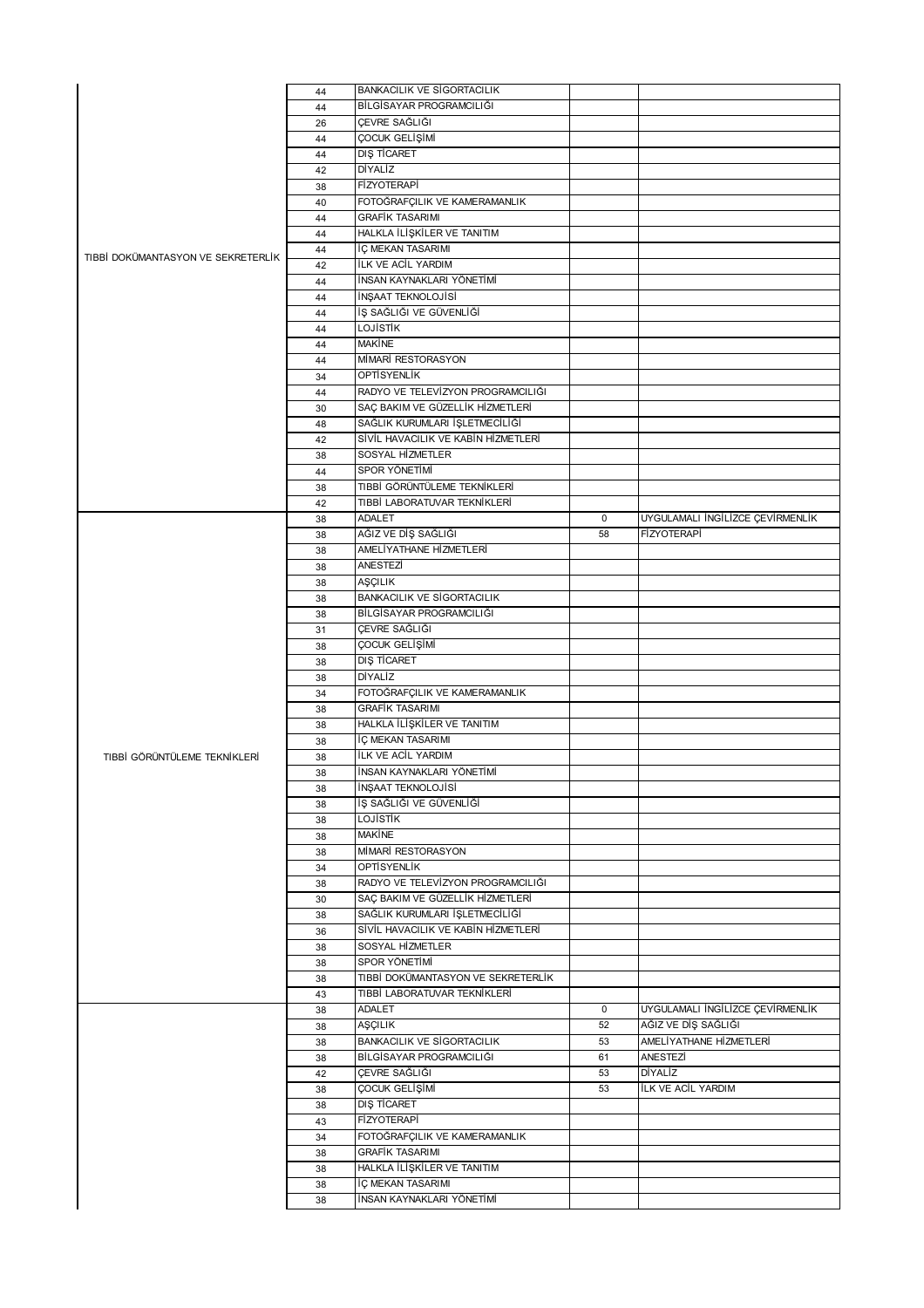|                                    | 44       | <b>BANKACILIK VE SİGORTACILIK</b>              |             |                                  |
|------------------------------------|----------|------------------------------------------------|-------------|----------------------------------|
| TIBBİ DOKÜMANTASYON VE SEKRETERLİK | 44       | BİLGİSAYAR PROGRAMCILIĞI                       |             |                                  |
|                                    | 26       | ÇEVRE SAĞLIĞI                                  |             |                                  |
|                                    | 44       | ÇOCUK GELİŞİMİ                                 |             |                                  |
|                                    | 44       | <b>DIŞ TİCARET</b>                             |             |                                  |
|                                    | 42       | DİYALİZ                                        |             |                                  |
|                                    | 38       | <b>FİZYOTERAPİ</b>                             |             |                                  |
|                                    | 40       | FOTOĞRAFÇILIK VE KAMERAMANLIK                  |             |                                  |
|                                    | 44       | <b>GRAFİK TASARIMI</b>                         |             |                                  |
|                                    | 44       | HALKLA İLİŞKİLER VE TANITIM                    |             |                                  |
|                                    | 44       | İÇ MEKAN TASARIMI                              |             |                                  |
|                                    | 42       | İLK VE ACİL YARDIM                             |             |                                  |
|                                    | 44       | İNSAN KAYNAKLARI YÖNETİMİ                      |             |                                  |
|                                    | 44       | <b>INSAAT TEKNOLOJISI</b>                      |             |                                  |
|                                    | 44       | İŞ SAĞLIĞI VE GÜVENLİĞİ                        |             |                                  |
|                                    | 44       | <b>LOJISTIK</b>                                |             |                                  |
|                                    | 44       | <b>MAKINE</b>                                  |             |                                  |
|                                    | 44       | MİMARİ RESTORASYON                             |             |                                  |
|                                    | 34       | OPTİSYENLİK                                    |             |                                  |
|                                    | 44       | RADYO VE TELEVİZYON PROGRAMCILIĞI              |             |                                  |
|                                    | 30       | SAÇ BAKIM VE GÜZELLİK HİZMETLERİ               |             |                                  |
|                                    | 48       | SAĞLIK KURUMLARI İŞLETMECİLİĞİ                 |             |                                  |
|                                    | 42       | SİVİL HAVACILIK VE KABİN HİZMETLERİ            |             |                                  |
|                                    | 38       | SOSYAL HİZMETLER                               |             |                                  |
|                                    | 44       | SPOR YÖNETİMİ                                  |             |                                  |
|                                    |          | TIBBİ GÖRÜNTÜLEME TEKNİKLERİ                   |             |                                  |
|                                    | 38       | TIBBİ LABORATUVAR TEKNİKLERİ                   |             |                                  |
|                                    | 42       | <b>ADALET</b>                                  | $\mathbf 0$ | UYGULAMALI İNGİLİZCE ÇEVİRMENLİK |
|                                    | 38       |                                                |             |                                  |
|                                    | 38       | AĞIZ VE DİŞ SAĞLIĞI                            | 58          | FİZYOTERAPİ                      |
|                                    | 38       | AMELİYATHANE HİZMETLERİ                        |             |                                  |
|                                    | 38       | ANESTEZİ                                       |             |                                  |
|                                    | 38       | AŞÇILIK                                        |             |                                  |
|                                    | 38       | <b>BANKACILIK VE SİGORTACILIK</b>              |             |                                  |
|                                    | 38       | BİLGİSAYAR PROGRAMCILIĞI                       |             |                                  |
|                                    | 31       | ÇEVRE SAĞLIĞI                                  |             |                                  |
|                                    | 38       | ÇOCUK GELİŞİMİ                                 |             |                                  |
|                                    | 38       | DIŞ TİCARET                                    |             |                                  |
|                                    | 38       | DİYALİZ                                        |             |                                  |
|                                    | 34       | FOTOĞRAFÇILIK VE KAMERAMANLIK                  |             |                                  |
|                                    | 38       | <b>GRAFİK TASARIMI</b>                         |             |                                  |
|                                    | 38       | HALKLA ILIŞKİLER VE TANITIM                    |             |                                  |
|                                    | 38       | İÇ MEKAN TASARIMI                              |             |                                  |
| TIBBİ GÖRÜNTÜLEME TEKNİKLERİ       | 38       | <b>İLK VE ACİL YARDIM</b>                      |             |                                  |
|                                    | 38       | İNSAN KAYNAKLARI YÖNETİMİ                      |             |                                  |
|                                    | 38       | İNŞAAT TEKNOLOJİSİ                             |             |                                  |
|                                    | 38       | İŞ SAĞLIĞI VE GÜVENLİĞİ                        |             |                                  |
|                                    | 38       | LOJİSTİK                                       |             |                                  |
|                                    | 38       | <b>MAKINE</b>                                  |             |                                  |
|                                    | 38       | MİMARİ RESTORASYON                             |             |                                  |
|                                    | 34       | OPTİSYENLİK                                    |             |                                  |
|                                    | 38       | RADYO VE TELEVÍZYON PROGRAMCILIĞI              |             |                                  |
|                                    | 30       | SAÇ BAKIM VE GÜZELLİK HİZMETLERİ               |             |                                  |
|                                    | 38       | SAĞLIK KURUMLARI İŞLETMECİLİĞİ                 |             |                                  |
|                                    | 36       | SİVİL HAVACILIK VE KABİN HİZMETLERİ            |             |                                  |
|                                    | 38       | SOSYAL HİZMETLER                               |             |                                  |
|                                    | 38       | SPOR YÖNETİMİ                                  |             |                                  |
|                                    | 38       | TIBBİ DOKÜMANTASYON VE SEKRETERLİK             |             |                                  |
|                                    | 43       | TIBBİ LABORATUVAR TEKNİKLERİ                   |             |                                  |
|                                    | 38       | ADALET                                         | 0           | UYGULAMALI İNGİLİZCE ÇEVİRMENLİK |
|                                    | 38       | AŞÇILIK                                        | 52          | AĞIZ VE DİŞ SAĞLIĞI              |
|                                    |          | <b>BANKACILIK VE SİGORTACILIK</b>              | 53          | AMELİYATHANE HİZMETLERİ          |
|                                    | 38<br>38 | BİLGİSAYAR PROGRAMCILIĞI                       | 61          | ANESTEZİ                         |
|                                    |          | ÇEVRE SAĞLIĞI                                  | 53          | DİYALİZ                          |
|                                    | 42       | ÇOCUK GELİŞİMİ                                 | 53          | <b>İLK VE ACİL YARDIM</b>        |
|                                    | 38       |                                                |             |                                  |
|                                    | 38       | <b>DIŞ TİCARET</b>                             |             |                                  |
|                                    | 43       | FİZYOTERAPİ                                    |             |                                  |
|                                    | 34       | FOTOĞRAFÇILIK VE KAMERAMANLIK                  |             |                                  |
|                                    | 38       | <b>GRAFİK TASARIMI</b>                         |             |                                  |
|                                    |          |                                                |             |                                  |
|                                    | 38       | HALKLA İLİŞKİLER VE TANITIM                    |             |                                  |
|                                    | 38<br>38 | İÇ MEKAN TASARIMI<br>İNSAN KAYNAKLARI YÖNETİMİ |             |                                  |